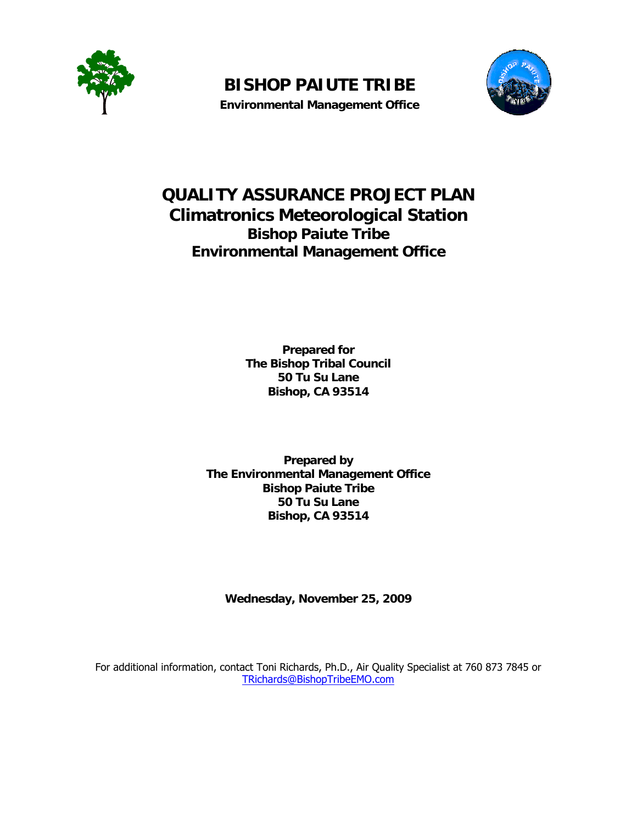

**BISHOP PAIUTE TRIBE Environmental Management Office** 



# **QUALITY ASSURANCE PROJECT PLAN Climatronics Meteorological Station Bishop Paiute Tribe Environmental Management Office**

**Prepared for The Bishop Tribal Council 50 Tu Su Lane Bishop, CA 93514** 

**Prepared by The Environmental Management Office Bishop Paiute Tribe 50 Tu Su Lane Bishop, CA 93514** 

**Wednesday, November 25, 2009** 

For additional information, contact Toni Richards, Ph.D., Air Quality Specialist at 760 873 7845 or TRichards@BishopTribeEMO.com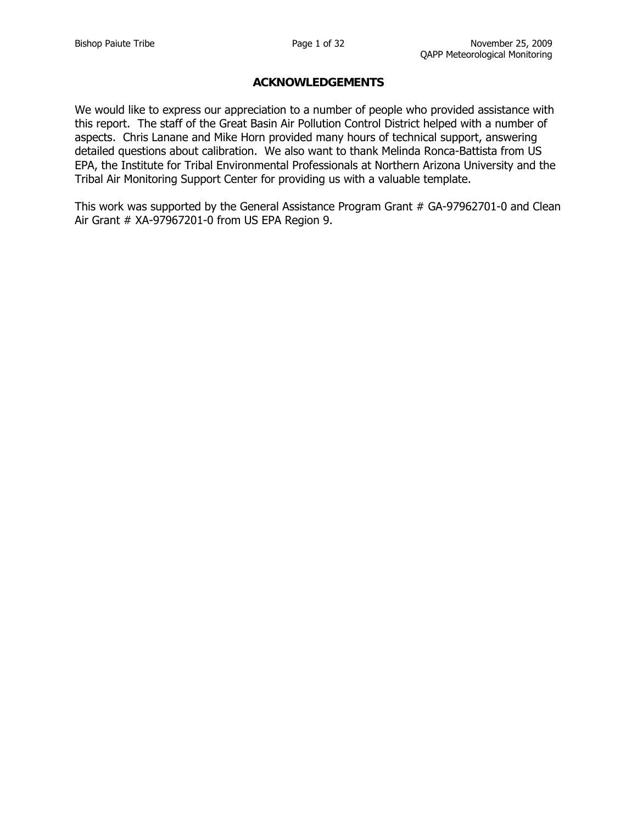#### **ACKNOWLEDGEMENTS**

We would like to express our appreciation to a number of people who provided assistance with this report. The staff of the Great Basin Air Pollution Control District helped with a number of aspects. Chris Lanane and Mike Horn provided many hours of technical support, answering detailed questions about calibration. We also want to thank Melinda Ronca-Battista from US EPA, the Institute for Tribal Environmental Professionals at Northern Arizona University and the Tribal Air Monitoring Support Center for providing us with a valuable template.

This work was supported by the General Assistance Program Grant # GA-97962701-0 and Clean Air Grant # XA-97967201-0 from US EPA Region 9.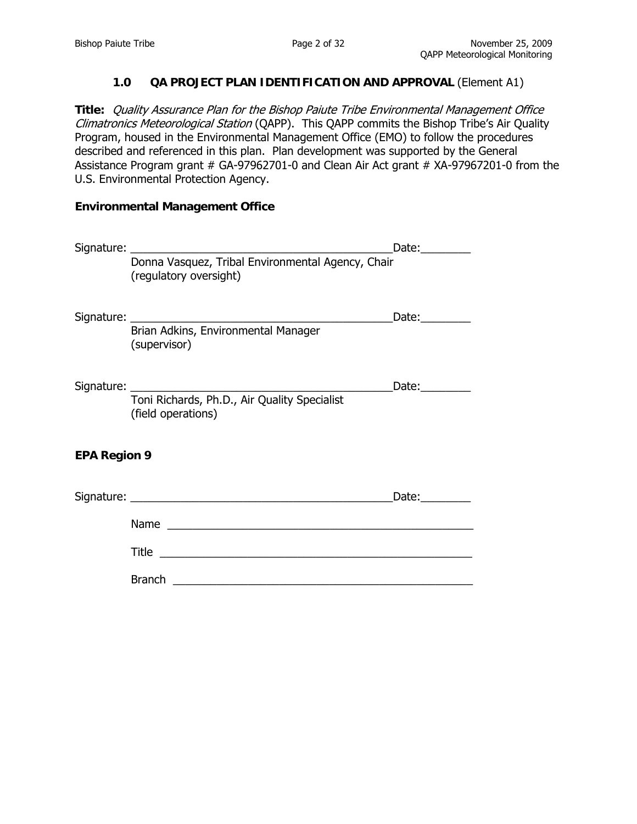### **1.0 QA PROJECT PLAN IDENTIFICATION AND APPROVAL** (Element A1)

**Title:** Quality Assurance Plan for the Bishop Paiute Tribe Environmental Management Office Climatronics Meteorological Station (QAPP). This QAPP commits the Bishop Tribe's Air Quality Program, housed in the Environmental Management Office (EMO) to follow the procedures described and referenced in this plan. Plan development was supported by the General Assistance Program grant # GA-97962701-0 and Clean Air Act grant # XA-97967201-0 from the U.S. Environmental Protection Agency.

#### **Environmental Management Office**

|                     | Signature: National Assembly Signature:                                     | Date:_________                                         |
|---------------------|-----------------------------------------------------------------------------|--------------------------------------------------------|
|                     | Donna Vasquez, Tribal Environmental Agency, Chair<br>(regulatory oversight) |                                                        |
|                     |                                                                             | Date:_________                                         |
|                     | Signature:<br>Brian Adkins, Environmental Manager<br>(supervisor)           |                                                        |
|                     |                                                                             | Date:_________                                         |
|                     | Toni Richards, Ph.D., Air Quality Specialist<br>(field operations)          |                                                        |
| <b>EPA Region 9</b> |                                                                             |                                                        |
|                     |                                                                             | Date: $\frac{1}{\sqrt{1-\frac{1}{2}}\cdot\frac{1}{2}}$ |
|                     | Name                                                                        |                                                        |
|                     |                                                                             |                                                        |
|                     |                                                                             |                                                        |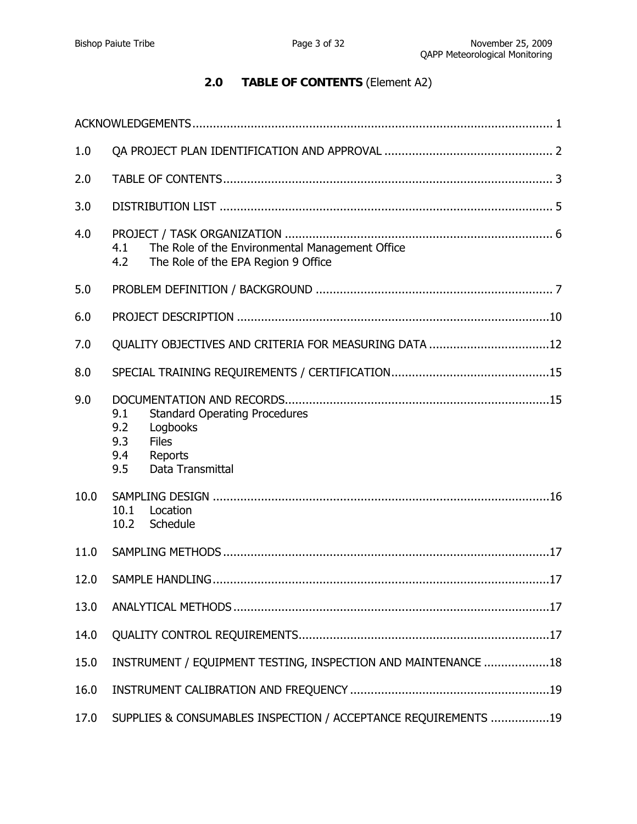# **2.0 TABLE OF CONTENTS** (Element A2)

| 1.0  |                                                                                                                                    |
|------|------------------------------------------------------------------------------------------------------------------------------------|
| 2.0  |                                                                                                                                    |
| 3.0  |                                                                                                                                    |
| 4.0  | The Role of the Environmental Management Office<br>4.1<br>4.2<br>The Role of the EPA Region 9 Office                               |
| 5.0  |                                                                                                                                    |
| 6.0  |                                                                                                                                    |
| 7.0  | QUALITY OBJECTIVES AND CRITERIA FOR MEASURING DATA 12                                                                              |
| 8.0  |                                                                                                                                    |
| 9.0  | <b>Standard Operating Procedures</b><br>9.1<br>9.2<br>Logbooks<br>9.3<br><b>Files</b><br>9.4<br>Reports<br>Data Transmittal<br>9.5 |
| 10.0 | 10.1<br>Location<br>10.2<br>Schedule                                                                                               |
| 11.0 |                                                                                                                                    |
| 12.0 |                                                                                                                                    |
| 13.0 |                                                                                                                                    |
| 14.0 |                                                                                                                                    |
| 15.0 | INSTRUMENT / EQUIPMENT TESTING, INSPECTION AND MAINTENANCE 18                                                                      |
| 16.0 |                                                                                                                                    |
| 17.0 | SUPPLIES & CONSUMABLES INSPECTION / ACCEPTANCE REQUIREMENTS 19                                                                     |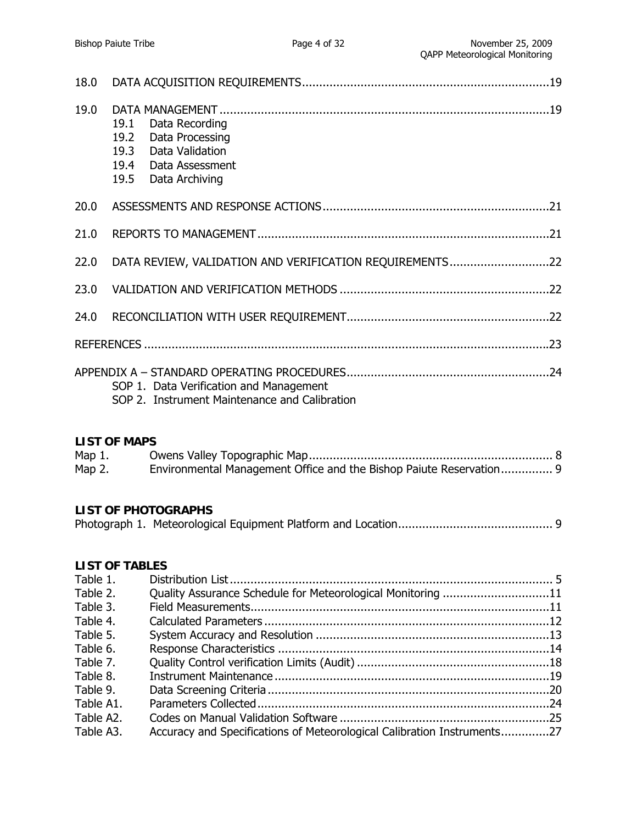| 18.0     |                                                                                                                                   |
|----------|-----------------------------------------------------------------------------------------------------------------------------------|
| 19.0     | 19.1<br>Data Recording<br>19.2<br>Data Processing<br>19.3<br>Data Validation<br>19.4<br>Data Assessment<br>19.5<br>Data Archiving |
| 20.0     |                                                                                                                                   |
| 21.0     |                                                                                                                                   |
| 22.0     | DATA REVIEW, VALIDATION AND VERIFICATION REQUIREMENTS22                                                                           |
| 23.0     |                                                                                                                                   |
| 24.0     |                                                                                                                                   |
|          |                                                                                                                                   |
|          | SOP 1. Data Verification and Management<br>SOP 2. Instrument Maintenance and Calibration                                          |
|          | <b>LIST OF MAPS</b>                                                                                                               |
|          | Map 1.<br>Environmental Management Office and the Bishop Paiute Reservation 9<br>Map $2.$                                         |
|          | <b>LIST OF PHOTOGRAPHS</b>                                                                                                        |
| Table 1. | <b>LIST OF TABLES</b><br>Table 2 Cuality Accurance Schodule for Meteorological Monitoring Cable 2 11                              |

| Table 2.  | Quality Assurance Schedule for Meteorological Monitoring 11             |  |
|-----------|-------------------------------------------------------------------------|--|
| Table 3.  |                                                                         |  |
| Table 4.  |                                                                         |  |
| Table 5.  |                                                                         |  |
| Table 6.  |                                                                         |  |
| Table 7.  |                                                                         |  |
| Table 8.  |                                                                         |  |
| Table 9.  |                                                                         |  |
| Table A1. |                                                                         |  |
| Table A2. |                                                                         |  |
| Table A3. | Accuracy and Specifications of Meteorological Calibration Instruments27 |  |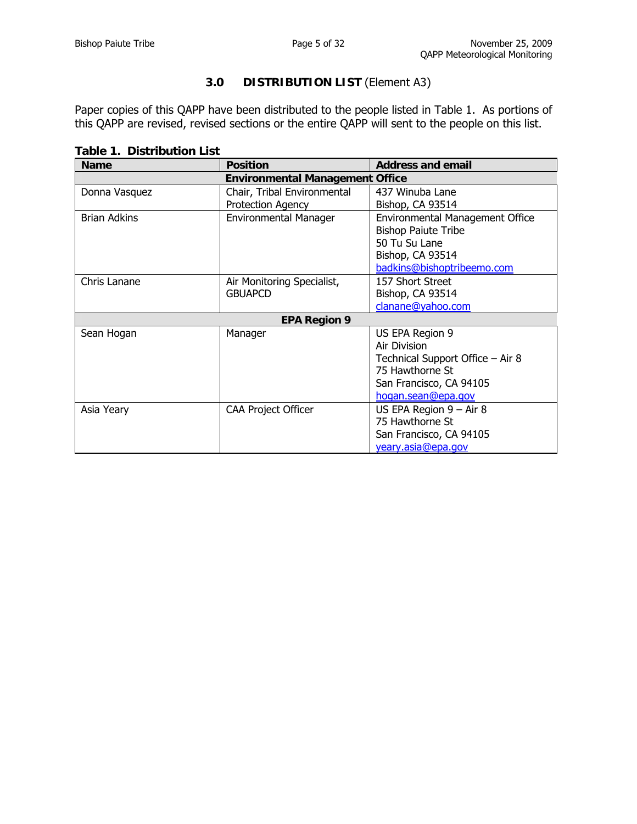# **3.0 DISTRIBUTION LIST** (Element A3)

Paper copies of this QAPP have been distributed to the people listed in Table 1. As portions of this QAPP are revised, revised sections or the entire QAPP will sent to the people on this list.

**Table 1. Distribution List**

| <b>Name</b>         | <b>Position</b>                        | <b>Address and email</b>               |  |  |  |  |
|---------------------|----------------------------------------|----------------------------------------|--|--|--|--|
|                     | <b>Environmental Management Office</b> |                                        |  |  |  |  |
| Donna Vasquez       | Chair, Tribal Environmental            | 437 Winuba Lane                        |  |  |  |  |
|                     | Protection Agency                      | Bishop, CA 93514                       |  |  |  |  |
| <b>Brian Adkins</b> | <b>Environmental Manager</b>           | <b>Environmental Management Office</b> |  |  |  |  |
|                     |                                        | <b>Bishop Paiute Tribe</b>             |  |  |  |  |
|                     |                                        | 50 Tu Su Lane                          |  |  |  |  |
|                     |                                        | Bishop, CA 93514                       |  |  |  |  |
|                     |                                        | badkins@bishoptribeemo.com             |  |  |  |  |
| Chris Lanane        | Air Monitoring Specialist,             | 157 Short Street                       |  |  |  |  |
|                     | <b>GBUAPCD</b>                         | Bishop, CA 93514                       |  |  |  |  |
|                     |                                        | clanane@yahoo.com                      |  |  |  |  |
|                     | <b>EPA Region 9</b>                    |                                        |  |  |  |  |
| Sean Hogan          | Manager                                | US EPA Region 9                        |  |  |  |  |
|                     |                                        | Air Division                           |  |  |  |  |
|                     |                                        | Technical Support Office - Air 8       |  |  |  |  |
|                     |                                        | 75 Hawthorne St                        |  |  |  |  |
|                     |                                        | San Francisco, CA 94105                |  |  |  |  |
|                     |                                        | hogan.sean@epa.gov                     |  |  |  |  |
| Asia Yeary          | <b>CAA Project Officer</b>             | US EPA Region $9 - Air 8$              |  |  |  |  |
|                     |                                        | 75 Hawthorne St                        |  |  |  |  |
|                     |                                        | San Francisco, CA 94105                |  |  |  |  |
|                     |                                        | yeary.asia@epa.gov                     |  |  |  |  |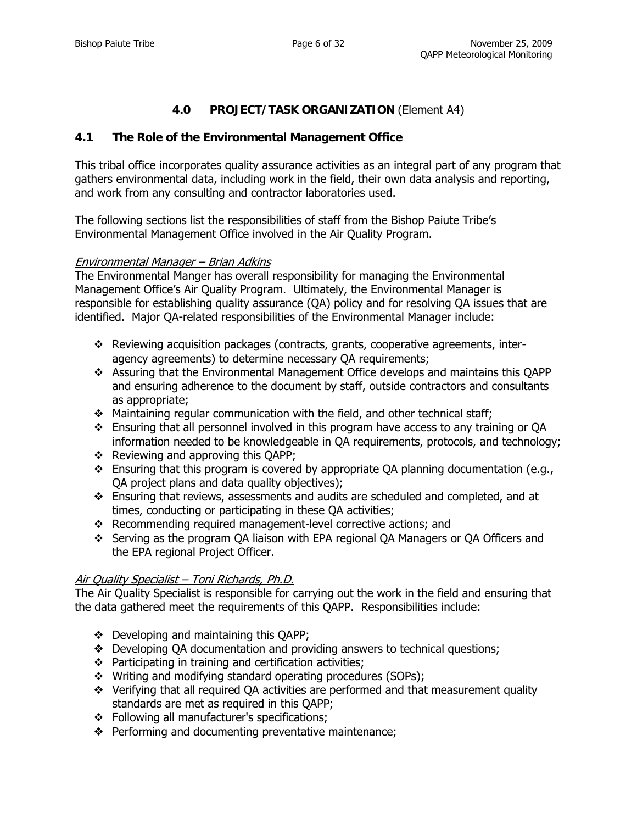# **4.0 PROJECT/TASK ORGANIZATION** (Element A4)

### **4.1 The Role of the Environmental Management Office**

This tribal office incorporates quality assurance activities as an integral part of any program that gathers environmental data, including work in the field, their own data analysis and reporting, and work from any consulting and contractor laboratories used.

The following sections list the responsibilities of staff from the Bishop Paiute Tribe's Environmental Management Office involved in the Air Quality Program.

#### Environmental Manager – Brian Adkins

The Environmental Manger has overall responsibility for managing the Environmental Management Office's Air Quality Program. Ultimately, the Environmental Manager is responsible for establishing quality assurance (QA) policy and for resolving QA issues that are identified. Major QA-related responsibilities of the Environmental Manager include:

- \* Reviewing acquisition packages (contracts, grants, cooperative agreements, interagency agreements) to determine necessary QA requirements;
- Assuring that the Environmental Management Office develops and maintains this QAPP and ensuring adherence to the document by staff, outside contractors and consultants as appropriate;
- Maintaining regular communication with the field, and other technical staff;
- $\div$  Ensuring that all personnel involved in this program have access to any training or QA information needed to be knowledgeable in QA requirements, protocols, and technology;
- $\div$  Reviewing and approving this OAPP;
- $\cdot \cdot$  Ensuring that this program is covered by appropriate OA planning documentation (e.g., QA project plans and data quality objectives);
- Ensuring that reviews, assessments and audits are scheduled and completed, and at times, conducting or participating in these QA activities;
- Recommending required management-level corrective actions; and
- Serving as the program QA liaison with EPA regional QA Managers or QA Officers and the EPA regional Project Officer.

#### Air Quality Specialist – Toni Richards, Ph.D.

The Air Quality Specialist is responsible for carrying out the work in the field and ensuring that the data gathered meet the requirements of this QAPP. Responsibilities include:

- Developing and maintaining this QAPP;
- Developing QA documentation and providing answers to technical questions;
- $\div$  Participating in training and certification activities;
- Writing and modifying standard operating procedures (SOPs);
- $\div$  Verifying that all required QA activities are performed and that measurement quality standards are met as required in this QAPP;
- ❖ Following all manufacturer's specifications;
- $\div$  Performing and documenting preventative maintenance;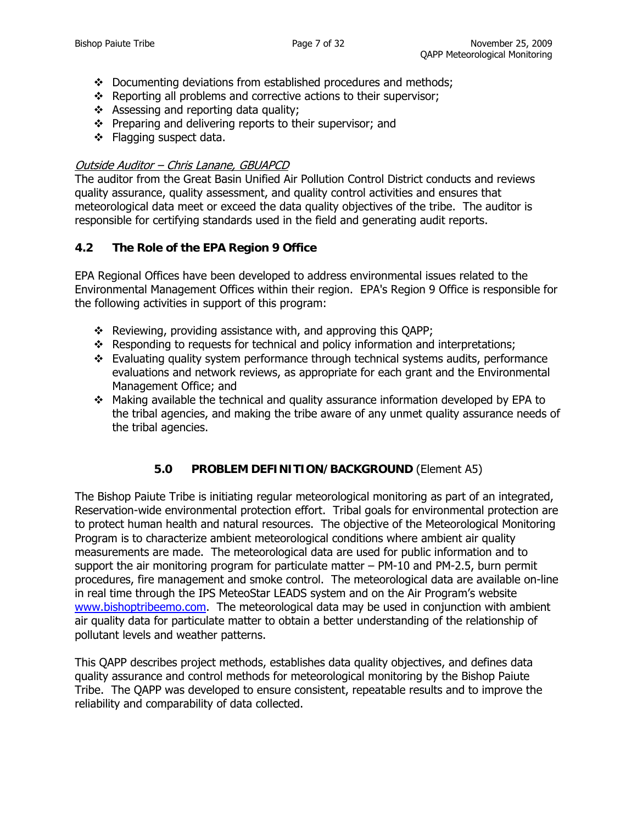- $\div$  Documenting deviations from established procedures and methods;
- $\triangle$  Reporting all problems and corrective actions to their supervisor;
- \* Assessing and reporting data quality;
- $\div$  Preparing and delivering reports to their supervisor; and
- ❖ Flagging suspect data.

## Outside Auditor – Chris Lanane, GBUAPCD

The auditor from the Great Basin Unified Air Pollution Control District conducts and reviews quality assurance, quality assessment, and quality control activities and ensures that meteorological data meet or exceed the data quality objectives of the tribe. The auditor is responsible for certifying standards used in the field and generating audit reports.

## **4.2 The Role of the EPA Region 9 Office**

EPA Regional Offices have been developed to address environmental issues related to the Environmental Management Offices within their region. EPA's Region 9 Office is responsible for the following activities in support of this program:

- $\div$  Reviewing, providing assistance with, and approving this OAPP;
- \* Responding to requests for technical and policy information and interpretations;
- $\div$  Evaluating quality system performance through technical systems audits, performance evaluations and network reviews, as appropriate for each grant and the Environmental Management Office; and
- $\cdot \cdot$  Making available the technical and quality assurance information developed by EPA to the tribal agencies, and making the tribe aware of any unmet quality assurance needs of the tribal agencies.

# **5.0 PROBLEM DEFINITION/BACKGROUND** (Element A5)

The Bishop Paiute Tribe is initiating regular meteorological monitoring as part of an integrated, Reservation-wide environmental protection effort. Tribal goals for environmental protection are to protect human health and natural resources. The objective of the Meteorological Monitoring Program is to characterize ambient meteorological conditions where ambient air quality measurements are made. The meteorological data are used for public information and to support the air monitoring program for particulate matter – PM-10 and PM-2.5, burn permit procedures, fire management and smoke control. The meteorological data are available on-line in real time through the IPS MeteoStar LEADS system and on the Air Program's website [www.bishoptribeemo.com](http://www.bishoptribeemo.com/). The meteorological data may be used in conjunction with ambient air quality data for particulate matter to obtain a better understanding of the relationship of pollutant levels and weather patterns.

This QAPP describes project methods, establishes data quality objectives, and defines data quality assurance and control methods for meteorological monitoring by the Bishop Paiute Tribe. The QAPP was developed to ensure consistent, repeatable results and to improve the reliability and comparability of data collected.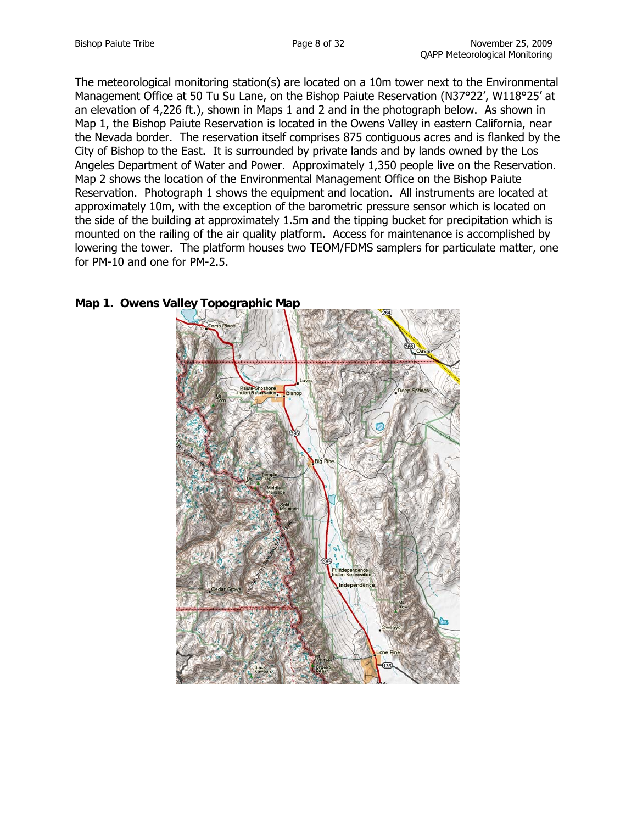The meteorological monitoring station(s) are located on a 10m tower next to the Environmental Management Office at 50 Tu Su Lane, on the Bishop Paiute Reservation (N37°22', W118°25' at an elevation of 4,226 ft.), shown in Maps 1 and 2 and in the photograph below. As shown in Map 1, the Bishop Paiute Reservation is located in the Owens Valley in eastern California, near the Nevada border. The reservation itself comprises 875 contiguous acres and is flanked by the City of Bishop to the East. It is surrounded by private lands and by lands owned by the Los Angeles Department of Water and Power. Approximately 1,350 people live on the Reservation. Map 2 shows the location of the Environmental Management Office on the Bishop Paiute Reservation. Photograph 1 shows the equipment and location. All instruments are located at approximately 10m, with the exception of the barometric pressure sensor which is located on the side of the building at approximately 1.5m and the tipping bucket for precipitation which is mounted on the railing of the air quality platform. Access for maintenance is accomplished by lowering the tower. The platform houses two TEOM/FDMS samplers for particulate matter, one for PM-10 and one for PM-2.5.



## **Map 1. Owens Valley Topographic Map**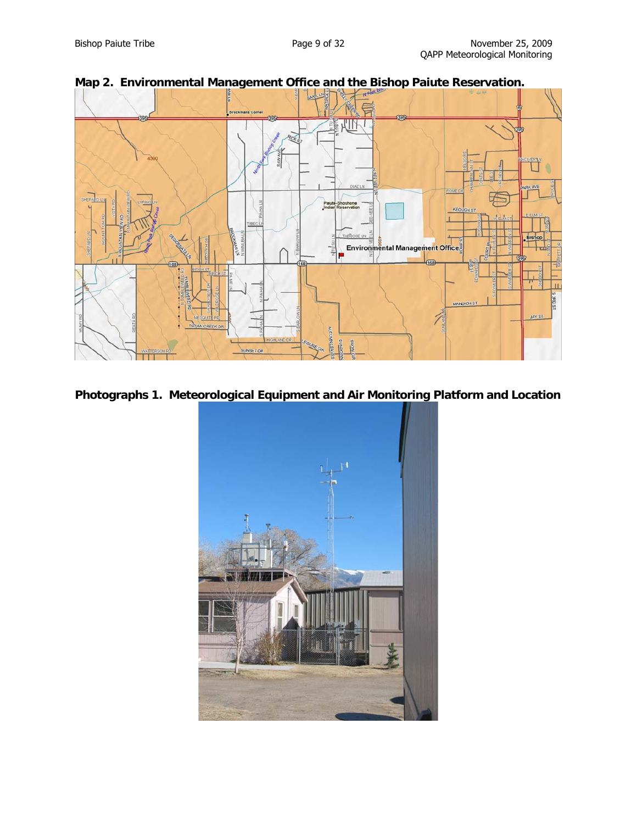

## **Photographs 1. Meteorological Equipment and Air Monitoring Platform and Location**

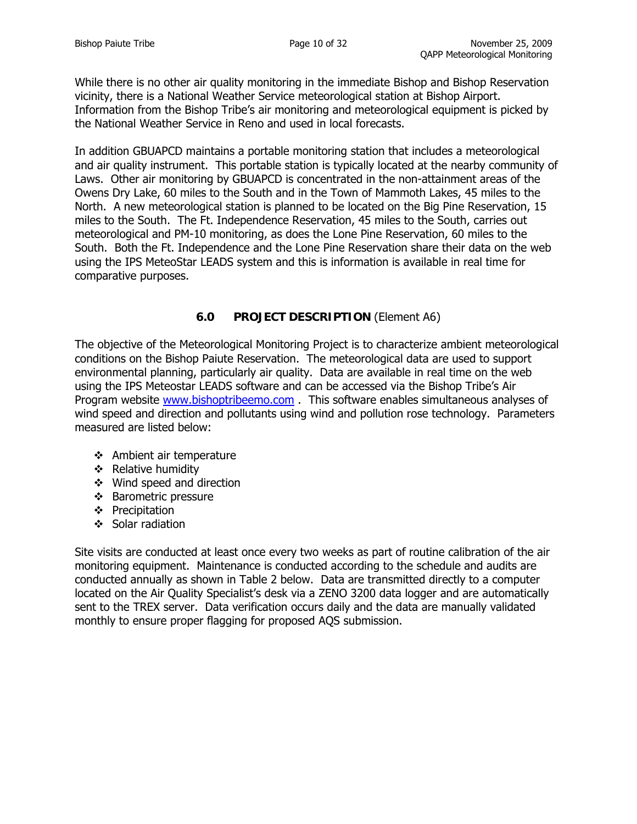While there is no other air quality monitoring in the immediate Bishop and Bishop Reservation vicinity, there is a National Weather Service meteorological station at Bishop Airport. Information from the Bishop Tribe's air monitoring and meteorological equipment is picked by the National Weather Service in Reno and used in local forecasts.

In addition GBUAPCD maintains a portable monitoring station that includes a meteorological and air quality instrument. This portable station is typically located at the nearby community of Laws. Other air monitoring by GBUAPCD is concentrated in the non-attainment areas of the Owens Dry Lake, 60 miles to the South and in the Town of Mammoth Lakes, 45 miles to the North. A new meteorological station is planned to be located on the Big Pine Reservation, 15 miles to the South. The Ft. Independence Reservation, 45 miles to the South, carries out meteorological and PM-10 monitoring, as does the Lone Pine Reservation, 60 miles to the South. Both the Ft. Independence and the Lone Pine Reservation share their data on the web using the IPS MeteoStar LEADS system and this is information is available in real time for comparative purposes.

## **6.0 PROJECT DESCRIPTION** (Element A6)

The objective of the Meteorological Monitoring Project is to characterize ambient meteorological conditions on the Bishop Paiute Reservation. The meteorological data are used to support environmental planning, particularly air quality. Data are available in real time on the web using the IPS Meteostar LEADS software and can be accessed via the Bishop Tribe's Air Program website [www.bishoptribeemo.com](http://www.bishoptribeemo.com/) . This software enables simultaneous analyses of wind speed and direction and pollutants using wind and pollution rose technology. Parameters measured are listed below:

- ❖ Ambient air temperature
- $\triangleleft$  Relative humidity
- Wind speed and direction
- ❖ Barometric pressure
- $\div$  Precipitation
- $\div$  Solar radiation

Site visits are conducted at least once every two weeks as part of routine calibration of the air monitoring equipment. Maintenance is conducted according to the schedule and audits are conducted annually as shown in Table 2 below. Data are transmitted directly to a computer located on the Air Quality Specialist's desk via a ZENO 3200 data logger and are automatically sent to the TREX server. Data verification occurs daily and the data are manually validated monthly to ensure proper flagging for proposed AQS submission.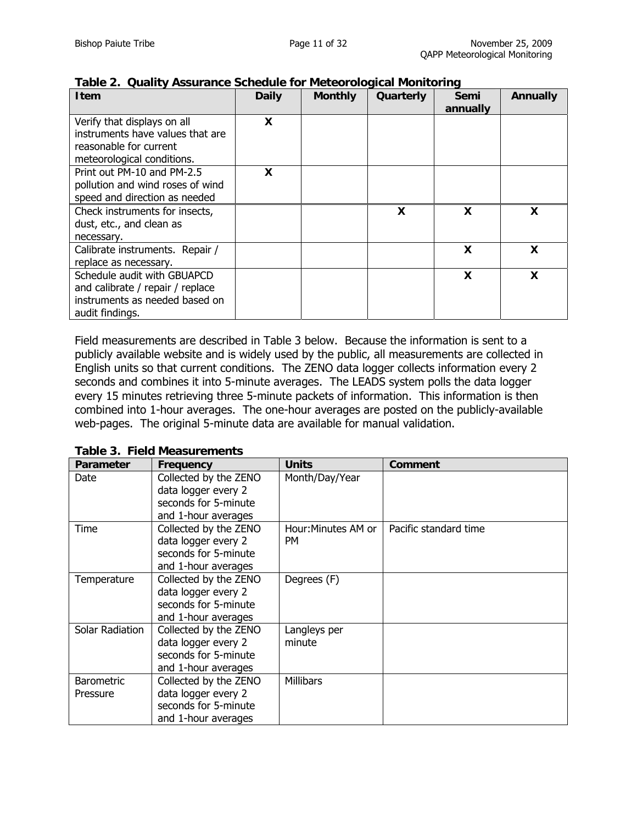| <b>Item</b>                                                                                                             | <b>Daily</b> | <b>Monthly</b> | Quarterly | Semi     | <b>Annually</b> |
|-------------------------------------------------------------------------------------------------------------------------|--------------|----------------|-----------|----------|-----------------|
|                                                                                                                         |              |                |           | annually |                 |
| Verify that displays on all<br>instruments have values that are<br>reasonable for current<br>meteorological conditions. | X            |                |           |          |                 |
| Print out PM-10 and PM-2.5<br>pollution and wind roses of wind<br>speed and direction as needed                         | X            |                |           |          |                 |
| Check instruments for insects,<br>dust, etc., and clean as<br>necessary.                                                |              |                | X         | X        | X               |
| Calibrate instruments. Repair /<br>replace as necessary.                                                                |              |                |           | X        | X               |
| Schedule audit with GBUAPCD<br>and calibrate / repair / replace<br>instruments as needed based on<br>audit findings.    |              |                |           | X        | X               |

#### **Table 2. Quality Assurance Schedule for Meteorological Monitoring**

Field measurements are described in Table 3 below. Because the information is sent to a publicly available website and is widely used by the public, all measurements are collected in English units so that current conditions. The ZENO data logger collects information every 2 seconds and combines it into 5-minute averages. The LEADS system polls the data logger every 15 minutes retrieving three 5-minute packets of information. This information is then combined into 1-hour averages. The one-hour averages are posted on the publicly-available web-pages. The original 5-minute data are available for manual validation.

**Table 3. Field Measurements** 

| <b>Parameter</b>  | Frequency             | <b>Units</b>        | Comment               |
|-------------------|-----------------------|---------------------|-----------------------|
| Date              | Collected by the ZENO | Month/Day/Year      |                       |
|                   | data logger every 2   |                     |                       |
|                   | seconds for 5-minute  |                     |                       |
|                   | and 1-hour averages   |                     |                       |
| Time              | Collected by the ZENO | Hour: Minutes AM or | Pacific standard time |
|                   | data logger every 2   | <b>PM</b>           |                       |
|                   | seconds for 5-minute  |                     |                       |
|                   | and 1-hour averages   |                     |                       |
| Temperature       | Collected by the ZENO | Degrees (F)         |                       |
|                   | data logger every 2   |                     |                       |
|                   | seconds for 5-minute  |                     |                       |
|                   | and 1-hour averages   |                     |                       |
| Solar Radiation   | Collected by the ZENO | Langleys per        |                       |
|                   | data logger every 2   | minute              |                       |
|                   | seconds for 5-minute  |                     |                       |
|                   | and 1-hour averages   |                     |                       |
| <b>Barometric</b> | Collected by the ZENO | <b>Millibars</b>    |                       |
| Pressure          | data logger every 2   |                     |                       |
|                   | seconds for 5-minute  |                     |                       |
|                   | and 1-hour averages   |                     |                       |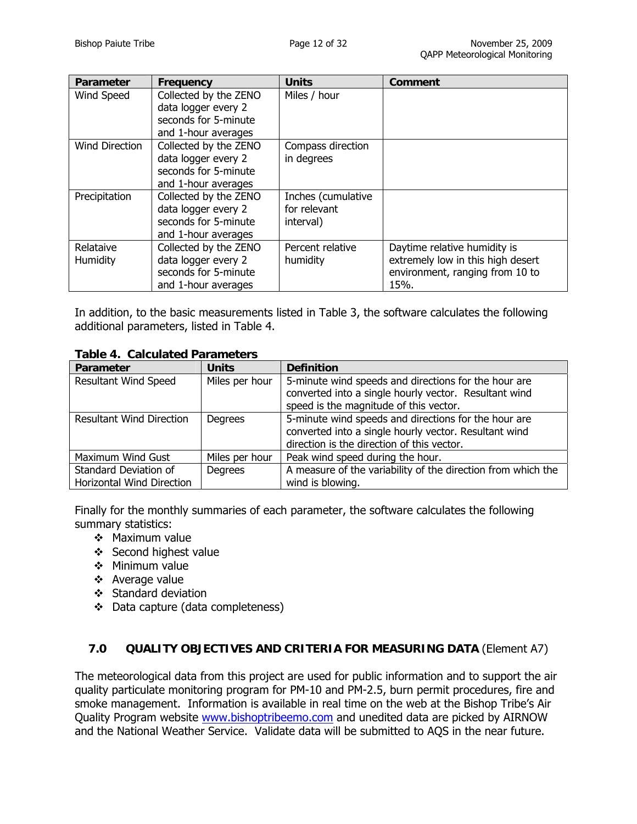| Parameter             | Frequency                                                                                   | <b>Units</b>                                    | <b>Comment</b>                                                                                               |
|-----------------------|---------------------------------------------------------------------------------------------|-------------------------------------------------|--------------------------------------------------------------------------------------------------------------|
| Wind Speed            | Collected by the ZENO<br>data logger every 2<br>seconds for 5-minute<br>and 1-hour averages | Miles / hour                                    |                                                                                                              |
| Wind Direction        | Collected by the ZENO<br>data logger every 2<br>seconds for 5-minute<br>and 1-hour averages | Compass direction<br>in degrees                 |                                                                                                              |
| Precipitation         | Collected by the ZENO<br>data logger every 2<br>seconds for 5-minute<br>and 1-hour averages | Inches (cumulative<br>for relevant<br>interval) |                                                                                                              |
| Relataive<br>Humidity | Collected by the ZENO<br>data logger every 2<br>seconds for 5-minute<br>and 1-hour averages | Percent relative<br>humidity                    | Daytime relative humidity is<br>extremely low in this high desert<br>environment, ranging from 10 to<br>15%. |

In addition, to the basic measurements listed in Table 3, the software calculates the following additional parameters, listed in Table 4.

**Table 4. Calculated Parameters** 

| Parameter                       | <b>Units</b>   | <b>Definition</b>                                            |  |
|---------------------------------|----------------|--------------------------------------------------------------|--|
| <b>Resultant Wind Speed</b>     | Miles per hour | 5-minute wind speeds and directions for the hour are         |  |
|                                 |                | converted into a single hourly vector. Resultant wind        |  |
|                                 |                | speed is the magnitude of this vector.                       |  |
| <b>Resultant Wind Direction</b> | Degrees        | 5-minute wind speeds and directions for the hour are         |  |
|                                 |                | converted into a single hourly vector. Resultant wind        |  |
|                                 |                | direction is the direction of this vector.                   |  |
| Maximum Wind Gust               | Miles per hour | Peak wind speed during the hour.                             |  |
| Standard Deviation of           | Degrees        | A measure of the variability of the direction from which the |  |
| Horizontal Wind Direction       |                | wind is blowing.                                             |  |

Finally for the monthly summaries of each parameter, the software calculates the following summary statistics:

- ❖ Maximum value
- ❖ Second highest value
- $\div$  Minimum value
- Average value
- $\div$  Standard deviation
- Data capture (data completeness)

## **7.0 QUALITY OBJECTIVES AND CRITERIA FOR MEASURING DATA** (Element A7)

The meteorological data from this project are used for public information and to support the air quality particulate monitoring program for PM-10 and PM-2.5, burn permit procedures, fire and smoke management. Information is available in real time on the web at the Bishop Tribe's Air Quality Program website [www.bishoptribeemo.com](http://www.bishoptribeemo.com/) and unedited data are picked by AIRNOW and the National Weather Service. Validate data will be submitted to AQS in the near future.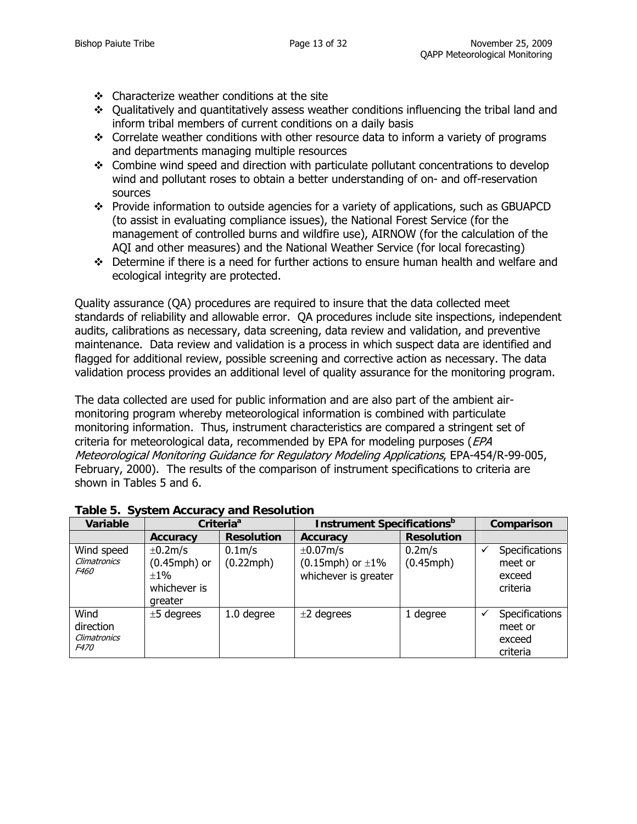- $\div$  Characterize weather conditions at the site
- Qualitatively and quantitatively assess weather conditions influencing the tribal land and inform tribal members of current conditions on a daily basis
- $\cdot$  Correlate weather conditions with other resource data to inform a variety of programs and departments managing multiple resources
- Combine wind speed and direction with particulate pollutant concentrations to develop wind and pollutant roses to obtain a better understanding of on- and off-reservation sources
- Provide information to outside agencies for a variety of applications, such as GBUAPCD (to assist in evaluating compliance issues), the National Forest Service (for the management of controlled burns and wildfire use), AIRNOW (for the calculation of the AQI and other measures) and the National Weather Service (for local forecasting)
- Determine if there is a need for further actions to ensure human health and welfare and ecological integrity are protected.

Quality assurance (QA) procedures are required to insure that the data collected meet standards of reliability and allowable error. QA procedures include site inspections, independent audits, calibrations as necessary, data screening, data review and validation, and preventive maintenance. Data review and validation is a process in which suspect data are identified and flagged for additional review, possible screening and corrective action as necessary. The data validation process provides an additional level of quality assurance for the monitoring program.

The data collected are used for public information and are also part of the ambient airmonitoring program whereby meteorological information is combined with particulate monitoring information. Thus, instrument characteristics are compared a stringent set of criteria for meteorological data, recommended by EPA for modeling purposes (EPA Meteorological Monitoring Guidance for Regulatory Modeling Applications, EPA-454/R-99-005, February, 2000). The results of the comparison of instrument specifications to criteria are shown in Tables 5 and 6.

| Variable                                         |                                                                         | Criteria <sup>a</sup>                  | <b>Instrument Specifications</b> <sup>b</sup>                       |                                        |  | Comparison                                      |
|--------------------------------------------------|-------------------------------------------------------------------------|----------------------------------------|---------------------------------------------------------------------|----------------------------------------|--|-------------------------------------------------|
|                                                  | <b>Accuracy</b>                                                         | <b>Resolution</b>                      | <b>Accuracy</b>                                                     | <b>Resolution</b>                      |  |                                                 |
| Wind speed<br><b>Climatronics</b><br><i>F460</i> | $\pm$ 0.2m/s<br>$(0.45$ mph $)$ or<br>$+1\%$<br>whichever is<br>greater | 0.1 <sub>m</sub> /s<br>$(0.22$ mph $)$ | $\pm 0.07$ m/s<br>$(0.15$ mph) or $\pm 1\%$<br>whichever is greater | 0.2 <sub>m</sub> /s<br>$(0.45$ mph $)$ |  | Specifications<br>meet or<br>exceed<br>criteria |
| Wind<br>direction<br>Climatronics<br><i>F470</i> | $±5$ degrees                                                            | 1.0 degree                             | $\pm 2$ degrees                                                     | 1 degree                               |  | Specifications<br>meet or<br>exceed<br>criteria |

#### **Table 5. System Accuracy and Resolution**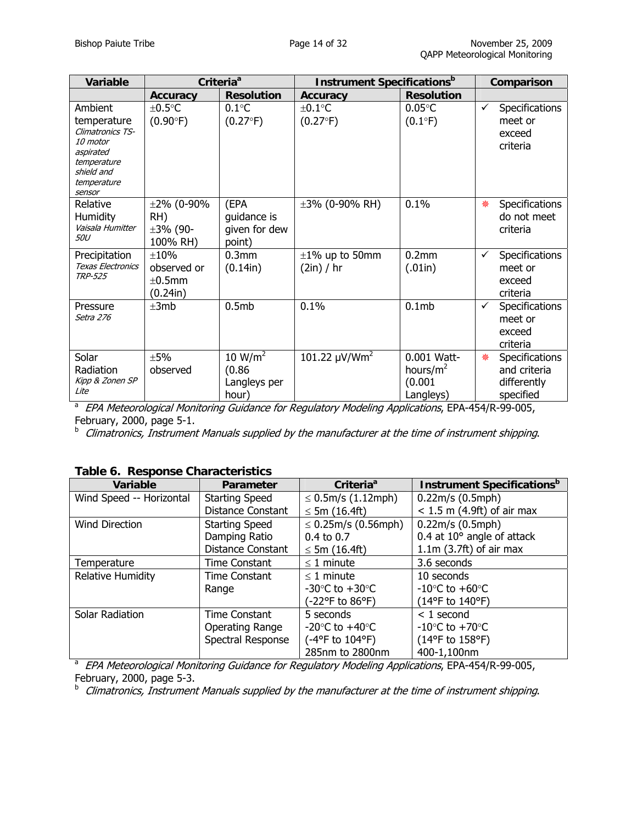| <b>Variable</b>                                                                                                           | Criteria <sup>a</sup>                           |                                                        | <b>Instrument Specifications</b> <sup>b</sup> |                                                    |   | Comparison                                                        |
|---------------------------------------------------------------------------------------------------------------------------|-------------------------------------------------|--------------------------------------------------------|-----------------------------------------------|----------------------------------------------------|---|-------------------------------------------------------------------|
|                                                                                                                           | <b>Accuracy</b>                                 | <b>Resolution</b>                                      | Accuracy                                      | <b>Resolution</b>                                  |   |                                                                   |
| Ambient<br>temperature<br>Climatronics TS-<br>10 motor<br>aspirated<br>temperature<br>shield and<br>temperature<br>sensor | $±0.5$ °C<br>$(0.90^{\circ}F)$                  | $0.1^{\circ}$ C<br>$(0.27^{\circ}F)$                   | $±0.1$ °C<br>$(0.27^{\circ}F)$                | $0.05^{\circ}$ C<br>$(0.1^{\circ}F)$               | ✓ | Specifications<br>meet or<br>exceed<br>criteria                   |
| Relative<br><b>Humidity</b><br>Vaisala Humitter<br><i>50U</i>                                                             | $±2\%$ (0-90%<br>RH)<br>$±3% (90-$<br>100% RH)  | (EPA<br>guidance is<br>given for dew<br>point)         | $\pm 3\%$ (0-90% RH)                          | 0.1%                                               | 樂 | Specifications<br>do not meet<br>criteria                         |
| Precipitation<br><b>Texas Electronics</b><br><b>TRP-525</b>                                                               | $\pm 10\%$<br>observed or<br>±0.5mm<br>(0.24in) | 0.3 <sub>mm</sub><br>(0.14in)                          | $\pm 1\%$ up to 50mm<br>(2in) / hr            | 0.2mm<br>(.01in)                                   | ✓ | <b>Specifications</b><br>meet or<br>exceed<br>criteria            |
| Pressure<br>Setra 276                                                                                                     | $\pm 3mb$                                       | 0.5mb                                                  | 0.1%                                          | 0.1mb                                              | ✓ | Specifications<br>meet or<br>exceed<br>criteria                   |
| Solar<br>Radiation<br>Kipp & Zonen SP<br>Lite                                                                             | ±5%<br>observed                                 | 10 W/m <sup>2</sup><br>(0.86)<br>Langleys per<br>hour) | 101.22 $\mu$ V/Wm <sup>2</sup>                | 0.001 Watt-<br>hours/ $m2$<br>(0.001)<br>Langleys) | 樂 | <b>Specifications</b><br>and criteria<br>differently<br>specified |

specified a EPA Meteorological Monitoring Guidance for Regulatory Modeling Applications, EPA-454/R-99-005, February, 2000, page 5-1.

**b** Climatronics, Instrument Manuals supplied by the manufacturer at the time of instrument shipping.

| rabic of incoporise originatellistics |                       |                                    |                                               |  |  |  |
|---------------------------------------|-----------------------|------------------------------------|-----------------------------------------------|--|--|--|
| Variable                              | Parameter             | Criteria <sup>a</sup>              | <b>Instrument Specifications</b> <sup>b</sup> |  |  |  |
| Wind Speed -- Horizontal              | <b>Starting Speed</b> | ≤ 0.5m/s $(1.12$ mph $)$           | 0.22m/s (0.5mph)                              |  |  |  |
|                                       | Distance Constant     | $\leq$ 5m (16.4ft)                 | $< 1.5$ m (4.9ft) of air max                  |  |  |  |
| <b>Wind Direction</b>                 | <b>Starting Speed</b> | $\leq 0.25$ m/s (0.56mph)          | 0.22m/s (0.5mph)                              |  |  |  |
|                                       | Damping Ratio         | $0.4 \text{ to } 0.7$              | 0.4 at $10^{\circ}$ angle of attack           |  |  |  |
|                                       | Distance Constant     | $\leq$ 5m (16.4ft)                 | $1.1m$ (3.7ft) of air max                     |  |  |  |
| Temperature                           | Time Constant         | $\leq$ 1 minute                    | 3.6 seconds                                   |  |  |  |
| <b>Relative Humidity</b>              | Time Constant         | $<$ 1 minute                       | 10 seconds                                    |  |  |  |
|                                       | Range                 | -30 $\degree$ C to +30 $\degree$ C | $-10$ °C to $+60$ °C                          |  |  |  |
|                                       |                       | (-22°F to 86°F)                    | (14°F to 140°F)                               |  |  |  |
| Solar Radiation                       | Time Constant         | 5 seconds                          | $< 1$ second                                  |  |  |  |
|                                       | Operating Range       | $-20^{\circ}$ C to $+40^{\circ}$ C | $-10^{\circ}$ C to $+70^{\circ}$ C            |  |  |  |
|                                       | Spectral Response     | (-4°F to 104°F)                    | $(14^{\circ}F \text{ to } 158^{\circ}F)$      |  |  |  |
|                                       |                       | 285nm to 2800nm                    | 400-1,100nm                                   |  |  |  |

#### **Table 6. Response Characteristics**

1285nm to 2800nm 1400-1,100nm<br>*a EPA Meteorological Monitoring Guidance for Regulatory Modeling Applications*, EPA-454/R-99-005,

February, 2000, page 5-3.<br><sup>b</sup> Climatronics, Instrument Manuals supplied by the manufacturer at the time of instrument shipping.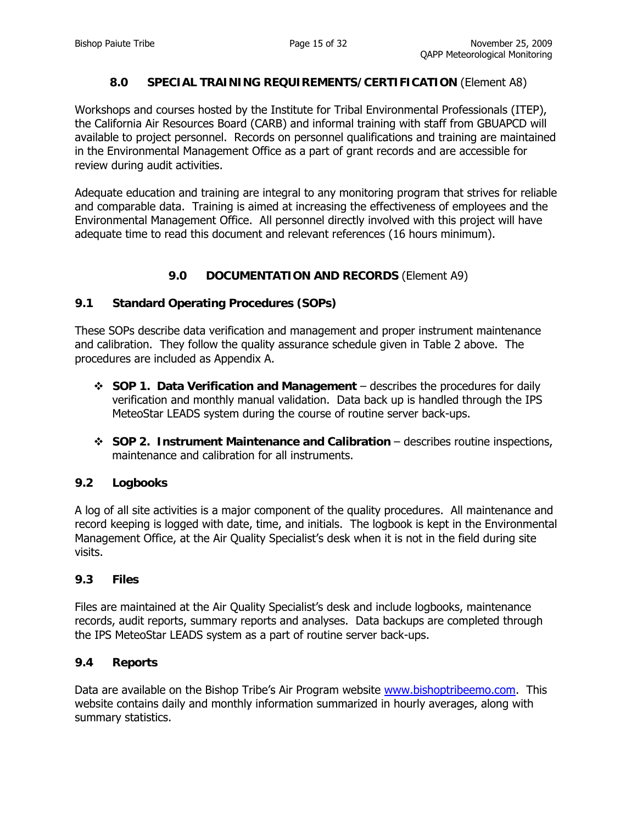## **8.0 SPECIAL TRAINING REQUIREMENTS/CERTIFICATION** (Element A8)

Workshops and courses hosted by the Institute for Tribal Environmental Professionals (ITEP), the California Air Resources Board (CARB) and informal training with staff from GBUAPCD will available to project personnel. Records on personnel qualifications and training are maintained in the Environmental Management Office as a part of grant records and are accessible for review during audit activities.

Adequate education and training are integral to any monitoring program that strives for reliable and comparable data. Training is aimed at increasing the effectiveness of employees and the Environmental Management Office. All personnel directly involved with this project will have adequate time to read this document and relevant references (16 hours minimum).

## **9.0 DOCUMENTATION AND RECORDS** (Element A9)

## **9.1 Standard Operating Procedures (SOPs)**

These SOPs describe data verification and management and proper instrument maintenance and calibration. They follow the quality assurance schedule given in Table 2 above. The procedures are included as Appendix A.

- **SOP 1. Data Verification and Management** describes the procedures for daily verification and monthly manual validation. Data back up is handled through the IPS MeteoStar LEADS system during the course of routine server back-ups.
- **SOP 2. Instrument Maintenance and Calibration** describes routine inspections, maintenance and calibration for all instruments.

#### **9.2 Logbooks**

A log of all site activities is a major component of the quality procedures. All maintenance and record keeping is logged with date, time, and initials. The logbook is kept in the Environmental Management Office, at the Air Quality Specialist's desk when it is not in the field during site visits.

#### **9.3 Files**

Files are maintained at the Air Quality Specialist's desk and include logbooks, maintenance records, audit reports, summary reports and analyses. Data backups are completed through the IPS MeteoStar LEADS system as a part of routine server back-ups.

#### **9.4 Reports**

Data are available on the Bishop Tribe's Air Program website [www.bishoptribeemo.com.](http://www.bishoptribeemo.com/) This website contains daily and monthly information summarized in hourly averages, along with summary statistics.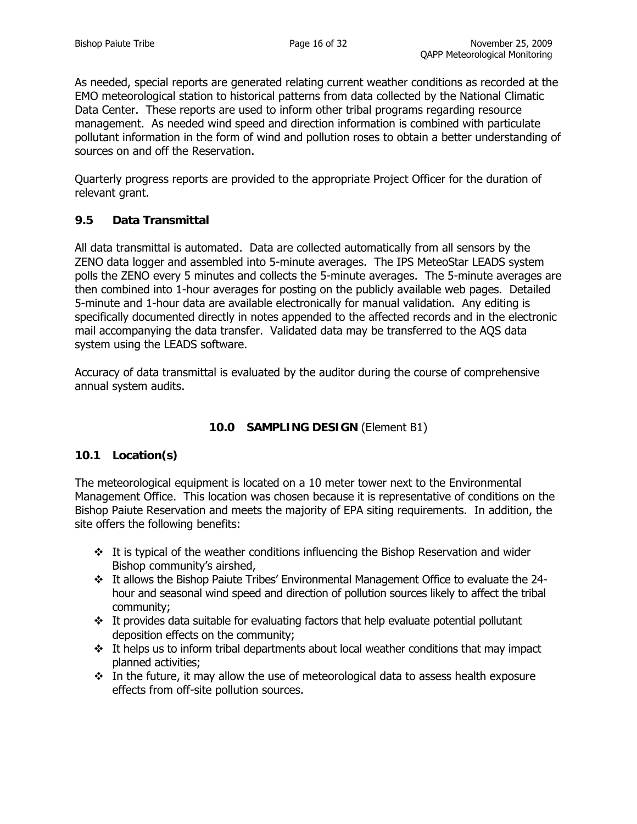As needed, special reports are generated relating current weather conditions as recorded at the EMO meteorological station to historical patterns from data collected by the National Climatic Data Center. These reports are used to inform other tribal programs regarding resource management. As needed wind speed and direction information is combined with particulate pollutant information in the form of wind and pollution roses to obtain a better understanding of sources on and off the Reservation.

Quarterly progress reports are provided to the appropriate Project Officer for the duration of relevant grant.

## **9.5 Data Transmittal**

All data transmittal is automated. Data are collected automatically from all sensors by the ZENO data logger and assembled into 5-minute averages. The IPS MeteoStar LEADS system polls the ZENO every 5 minutes and collects the 5-minute averages. The 5-minute averages are then combined into 1-hour averages for posting on the publicly available web pages. Detailed 5-minute and 1-hour data are available electronically for manual validation. Any editing is specifically documented directly in notes appended to the affected records and in the electronic mail accompanying the data transfer. Validated data may be transferred to the AQS data system using the LEADS software.

Accuracy of data transmittal is evaluated by the auditor during the course of comprehensive annual system audits.

## **10.0 SAMPLING DESIGN** (Element B1)

## **10.1 Location(s)**

The meteorological equipment is located on a 10 meter tower next to the Environmental Management Office. This location was chosen because it is representative of conditions on the Bishop Paiute Reservation and meets the majority of EPA siting requirements. In addition, the site offers the following benefits:

- $\cdot \cdot$  It is typical of the weather conditions influencing the Bishop Reservation and wider Bishop community's airshed,
- It allows the Bishop Paiute Tribes' Environmental Management Office to evaluate the 24 hour and seasonal wind speed and direction of pollution sources likely to affect the tribal community;
- $\cdot \cdot$  It provides data suitable for evaluating factors that help evaluate potential pollutant deposition effects on the community;
- $\cdot \cdot$  It helps us to inform tribal departments about local weather conditions that may impact planned activities;
- $\cdot \cdot$  In the future, it may allow the use of meteorological data to assess health exposure effects from off-site pollution sources.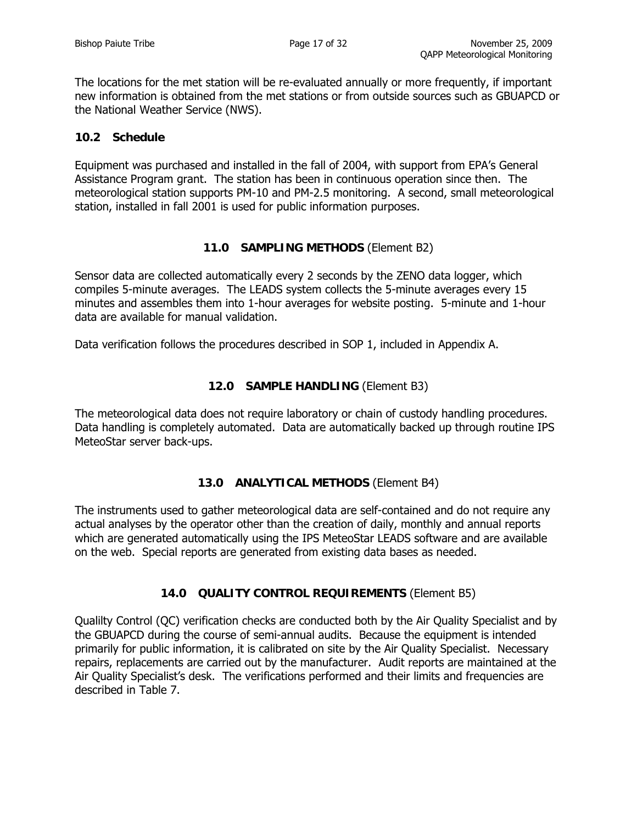The locations for the met station will be re-evaluated annually or more frequently, if important new information is obtained from the met stations or from outside sources such as GBUAPCD or the National Weather Service (NWS).

## **10.2 Schedule**

Equipment was purchased and installed in the fall of 2004, with support from EPA's General Assistance Program grant. The station has been in continuous operation since then. The meteorological station supports PM-10 and PM-2.5 monitoring. A second, small meteorological station, installed in fall 2001 is used for public information purposes.

## **11.0 SAMPLING METHODS** (Element B2)

Sensor data are collected automatically every 2 seconds by the ZENO data logger, which compiles 5-minute averages. The LEADS system collects the 5-minute averages every 15 minutes and assembles them into 1-hour averages for website posting. 5-minute and 1-hour data are available for manual validation.

Data verification follows the procedures described in SOP 1, included in Appendix A.

## **12.0 SAMPLE HANDLING** (Element B3)

The meteorological data does not require laboratory or chain of custody handling procedures. Data handling is completely automated. Data are automatically backed up through routine IPS MeteoStar server back-ups.

## **13.0 ANALYTICAL METHODS** (Element B4)

The instruments used to gather meteorological data are self-contained and do not require any actual analyses by the operator other than the creation of daily, monthly and annual reports which are generated automatically using the IPS MeteoStar LEADS software and are available on the web. Special reports are generated from existing data bases as needed.

## **14.0 QUALITY CONTROL REQUIREMENTS** (Element B5)

Qualilty Control (QC) verification checks are conducted both by the Air Quality Specialist and by the GBUAPCD during the course of semi-annual audits. Because the equipment is intended primarily for public information, it is calibrated on site by the Air Quality Specialist. Necessary repairs, replacements are carried out by the manufacturer. Audit reports are maintained at the Air Quality Specialist's desk. The verifications performed and their limits and frequencies are described in Table 7.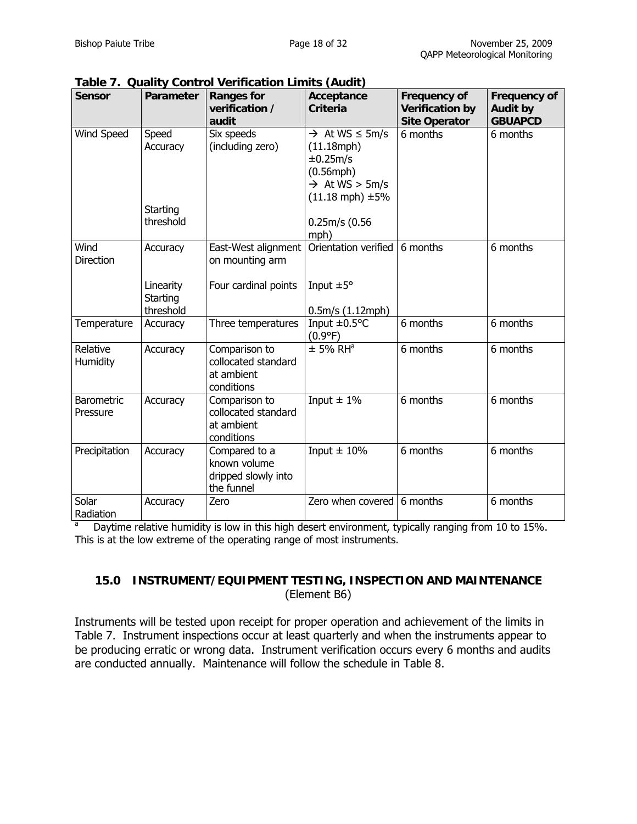| <b>Sensor</b>            | Parameter                                      | <b>Ranges for</b><br>verification /<br>audit                       | Acceptance<br><b>Criteria</b>                                                                                                                                          | <b>Frequency of</b><br><b>Verification by</b><br><b>Site Operator</b> | <b>Frequency of</b><br><b>Audit by</b><br><b>GBUAPCD</b> |
|--------------------------|------------------------------------------------|--------------------------------------------------------------------|------------------------------------------------------------------------------------------------------------------------------------------------------------------------|-----------------------------------------------------------------------|----------------------------------------------------------|
| Wind Speed               | Speed<br>Accuracy<br>Starting<br>threshold     | Six speeds<br>(including zero)                                     | $\rightarrow$ At WS $\leq$ 5m/s<br>$(11.18$ mph $)$<br>±0.25m/s<br>$(0.56$ mph $)$<br>$\rightarrow$ At WS > 5m/s<br>$(11.18$ mph) $\pm 5\%$<br>$0.25m/s$ (0.56<br>mph) | 6 months                                                              | 6 months                                                 |
| Wind<br><b>Direction</b> | Accuracy<br>Linearity<br>Starting<br>threshold | East-West alignment<br>on mounting arm<br>Four cardinal points     | Orientation verified<br>Input $\pm 5^{\circ}$<br>0.5m/s (1.12mph)                                                                                                      | 6 months                                                              | 6 months                                                 |
| Temperature              | Accuracy                                       | Three temperatures                                                 | Input $\pm 0.5^{\circ}$ C<br>$(0.9^{\circ}F)$                                                                                                                          | $6$ months                                                            | 6 months                                                 |
| Relative<br>Humidity     | Accuracy                                       | Comparison to<br>collocated standard<br>at ambient<br>conditions   | $±$ 5% RH <sup>a</sup>                                                                                                                                                 | 6 months                                                              | 6 months                                                 |
| Barometric<br>Pressure   | Accuracy                                       | Comparison to<br>collocated standard<br>at ambient<br>conditions   | Input $\pm$ 1%                                                                                                                                                         | 6 months                                                              | 6 months                                                 |
| Precipitation            | Accuracy                                       | Compared to a<br>known volume<br>dripped slowly into<br>the funnel | Input $\pm$ 10%                                                                                                                                                        | 6 months                                                              | 6 months                                                 |
| Solar<br>Radiation       | Accuracy                                       | Zero                                                               | Zero when covered                                                                                                                                                      | 6 months                                                              | 6 months                                                 |

**Table 7. Quality Control Verification Limits (Audit)**

a Daytime relative humidity is low in this high desert environment, typically ranging from 10 to 15%. This is at the low extreme of the operating range of most instruments.

## **15.0 INSTRUMENT/EQUIPMENT TESTING, INSPECTION AND MAINTENANCE**  (Element B6)

Instruments will be tested upon receipt for proper operation and achievement of the limits in Table 7. Instrument inspections occur at least quarterly and when the instruments appear to be producing erratic or wrong data. Instrument verification occurs every 6 months and audits are conducted annually. Maintenance will follow the schedule in Table 8.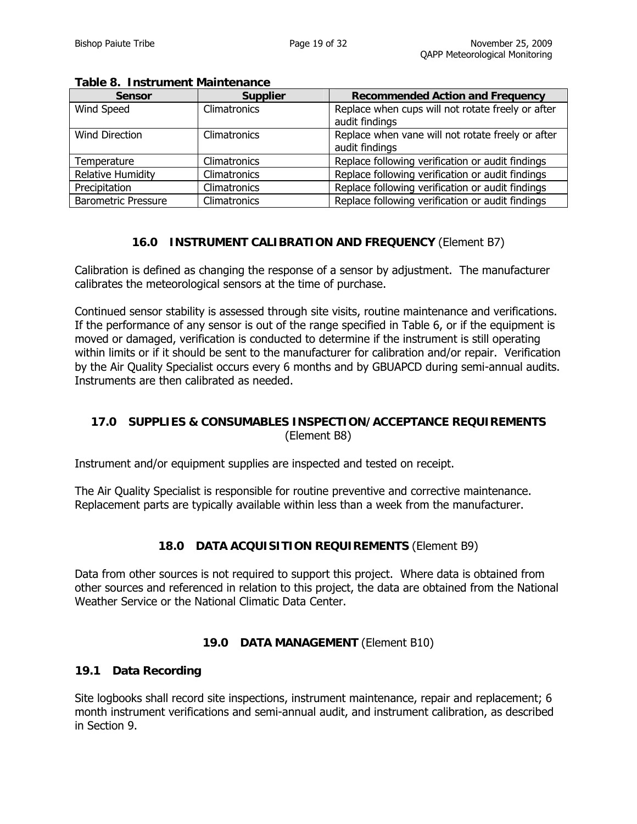| <b>Sensor</b>              | <b>Supplier</b> | <b>Recommended Action and Frequency</b>                             |
|----------------------------|-----------------|---------------------------------------------------------------------|
| Wind Speed                 | Climatronics    | Replace when cups will not rotate freely or after<br>audit findings |
| Wind Direction             | Climatronics    | Replace when vane will not rotate freely or after<br>audit findings |
| Temperature                | Climatronics    | Replace following verification or audit findings                    |
| <b>Relative Humidity</b>   | Climatronics    | Replace following verification or audit findings                    |
| Precipitation              | Climatronics    | Replace following verification or audit findings                    |
| <b>Barometric Pressure</b> | Climatronics    | Replace following verification or audit findings                    |

#### **Table 8. Instrument Maintenance**

## **16.0 INSTRUMENT CALIBRATION AND FREQUENCY** (Element B7)

Calibration is defined as changing the response of a sensor by adjustment. The manufacturer calibrates the meteorological sensors at the time of purchase.

Continued sensor stability is assessed through site visits, routine maintenance and verifications. If the performance of any sensor is out of the range specified in Table 6, or if the equipment is moved or damaged, verification is conducted to determine if the instrument is still operating within limits or if it should be sent to the manufacturer for calibration and/or repair. Verification by the Air Quality Specialist occurs every 6 months and by GBUAPCD during semi-annual audits. Instruments are then calibrated as needed.

## **17.0 SUPPLIES & CONSUMABLES INSPECTION/ACCEPTANCE REQUIREMENTS**  (Element B8)

Instrument and/or equipment supplies are inspected and tested on receipt.

The Air Quality Specialist is responsible for routine preventive and corrective maintenance. Replacement parts are typically available within less than a week from the manufacturer.

#### **18.0 DATA ACQUISITION REQUIREMENTS** (Element B9)

Data from other sources is not required to support this project. Where data is obtained from other sources and referenced in relation to this project, the data are obtained from the National Weather Service or the National Climatic Data Center.

#### **19.0 DATA MANAGEMENT** (Element B10)

#### **19.1 Data Recording**

Site logbooks shall record site inspections, instrument maintenance, repair and replacement; 6 month instrument verifications and semi-annual audit, and instrument calibration, as described in Section 9.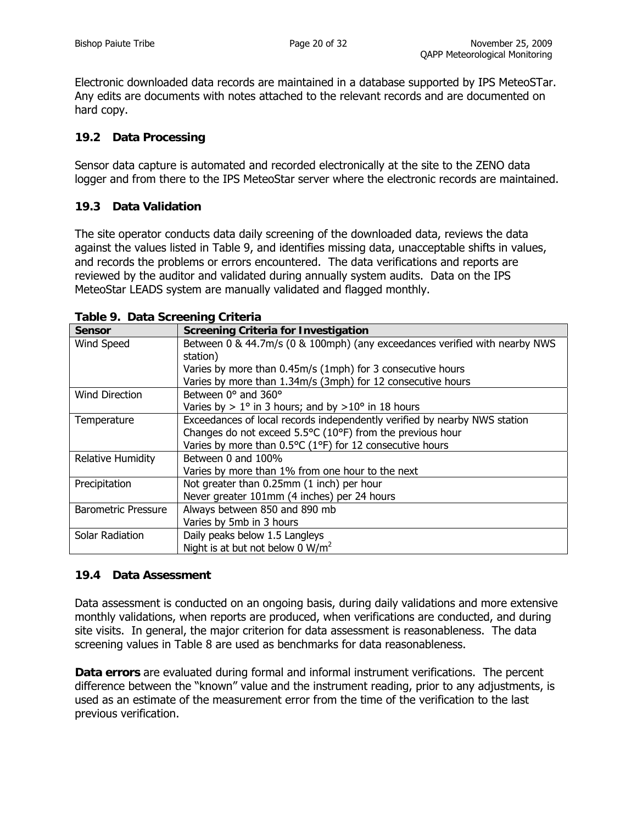Electronic downloaded data records are maintained in a database supported by IPS MeteoSTar. Any edits are documents with notes attached to the relevant records and are documented on hard copy.

## **19.2 Data Processing**

Sensor data capture is automated and recorded electronically at the site to the ZENO data logger and from there to the IPS MeteoStar server where the electronic records are maintained.

## **19.3 Data Validation**

The site operator conducts data daily screening of the downloaded data, reviews the data against the values listed in Table 9, and identifies missing data, unacceptable shifts in values, and records the problems or errors encountered. The data verifications and reports are reviewed by the auditor and validated during annually system audits. Data on the IPS MeteoStar LEADS system are manually validated and flagged monthly.

| <b>Sensor</b>              | <b>Screening Criteria for Investigation</b>                                  |
|----------------------------|------------------------------------------------------------------------------|
| Wind Speed                 | Between 0 & 44.7m/s (0 & 100mph) (any exceedances verified with nearby NWS   |
|                            | station)                                                                     |
|                            | Varies by more than 0.45m/s (1mph) for 3 consecutive hours                   |
|                            | Varies by more than 1.34m/s (3mph) for 12 consecutive hours                  |
| <b>Wind Direction</b>      | Between 0° and 360°                                                          |
|                            | Varies by $> 1^{\circ}$ in 3 hours; and by $> 10^{\circ}$ in 18 hours        |
| Temperature                | Exceedances of local records independently verified by nearby NWS station    |
|                            | Changes do not exceed 5.5°C (10°F) from the previous hour                    |
|                            | Varies by more than $0.5^{\circ}C$ (1 $^{\circ}F$ ) for 12 consecutive hours |
| <b>Relative Humidity</b>   | Between 0 and 100%                                                           |
|                            | Varies by more than 1% from one hour to the next                             |
| Precipitation              | Not greater than 0.25mm (1 inch) per hour                                    |
|                            | Never greater 101mm (4 inches) per 24 hours                                  |
| <b>Barometric Pressure</b> | Always between 850 and 890 mb                                                |
|                            | Varies by 5mb in 3 hours                                                     |
| Solar Radiation            | Daily peaks below 1.5 Langleys                                               |
|                            | Night is at but not below 0 $W/m^2$                                          |

**Table 9. Data Screening Criteria** 

## **19.4 Data Assessment**

Data assessment is conducted on an ongoing basis, during daily validations and more extensive monthly validations, when reports are produced, when verifications are conducted, and during site visits. In general, the major criterion for data assessment is reasonableness. The data screening values in Table 8 are used as benchmarks for data reasonableness.

**Data errors** are evaluated during formal and informal instrument verifications. The percent difference between the "known" value and the instrument reading, prior to any adjustments, is used as an estimate of the measurement error from the time of the verification to the last previous verification.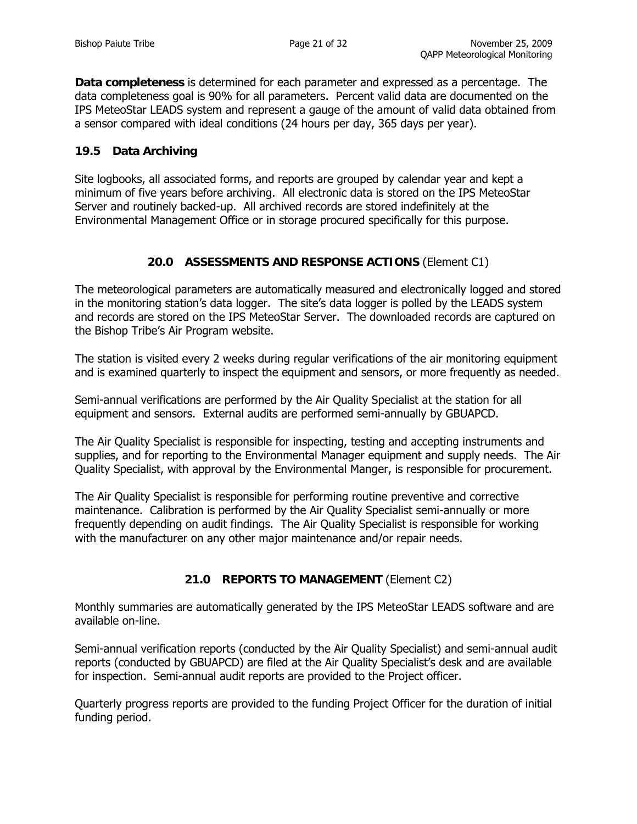**Data completeness** is determined for each parameter and expressed as a percentage. The data completeness goal is 90% for all parameters. Percent valid data are documented on the IPS MeteoStar LEADS system and represent a gauge of the amount of valid data obtained from a sensor compared with ideal conditions (24 hours per day, 365 days per year).

### **19.5 Data Archiving**

Site logbooks, all associated forms, and reports are grouped by calendar year and kept a minimum of five years before archiving. All electronic data is stored on the IPS MeteoStar Server and routinely backed-up. All archived records are stored indefinitely at the Environmental Management Office or in storage procured specifically for this purpose.

## **20.0 ASSESSMENTS AND RESPONSE ACTIONS** (Element C1)

The meteorological parameters are automatically measured and electronically logged and stored in the monitoring station's data logger. The site's data logger is polled by the LEADS system and records are stored on the IPS MeteoStar Server. The downloaded records are captured on the Bishop Tribe's Air Program website.

The station is visited every 2 weeks during regular verifications of the air monitoring equipment and is examined quarterly to inspect the equipment and sensors, or more frequently as needed.

Semi-annual verifications are performed by the Air Quality Specialist at the station for all equipment and sensors. External audits are performed semi-annually by GBUAPCD.

The Air Quality Specialist is responsible for inspecting, testing and accepting instruments and supplies, and for reporting to the Environmental Manager equipment and supply needs. The Air Quality Specialist, with approval by the Environmental Manger, is responsible for procurement.

The Air Quality Specialist is responsible for performing routine preventive and corrective maintenance. Calibration is performed by the Air Quality Specialist semi-annually or more frequently depending on audit findings. The Air Quality Specialist is responsible for working with the manufacturer on any other major maintenance and/or repair needs.

## **21.0 REPORTS TO MANAGEMENT** (Element C2)

Monthly summaries are automatically generated by the IPS MeteoStar LEADS software and are available on-line.

Semi-annual verification reports (conducted by the Air Quality Specialist) and semi-annual audit reports (conducted by GBUAPCD) are filed at the Air Quality Specialist's desk and are available for inspection. Semi-annual audit reports are provided to the Project officer.

Quarterly progress reports are provided to the funding Project Officer for the duration of initial funding period.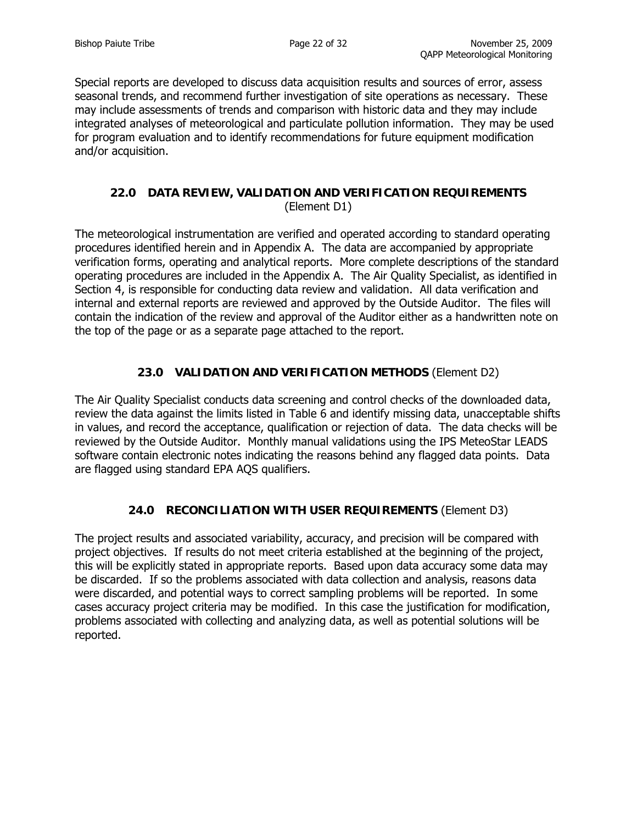Special reports are developed to discuss data acquisition results and sources of error, assess seasonal trends, and recommend further investigation of site operations as necessary. These may include assessments of trends and comparison with historic data and they may include integrated analyses of meteorological and particulate pollution information. They may be used for program evaluation and to identify recommendations for future equipment modification and/or acquisition.

## **22.0 DATA REVIEW, VALIDATION AND VERIFICATION REQUIREMENTS**  (Element D1)

The meteorological instrumentation are verified and operated according to standard operating procedures identified herein and in Appendix A. The data are accompanied by appropriate verification forms, operating and analytical reports. More complete descriptions of the standard operating procedures are included in the Appendix A. The Air Quality Specialist, as identified in Section 4, is responsible for conducting data review and validation. All data verification and internal and external reports are reviewed and approved by the Outside Auditor. The files will contain the indication of the review and approval of the Auditor either as a handwritten note on the top of the page or as a separate page attached to the report.

## **23.0 VALIDATION AND VERIFICATION METHODS** (Element D2)

The Air Quality Specialist conducts data screening and control checks of the downloaded data, review the data against the limits listed in Table 6 and identify missing data, unacceptable shifts in values, and record the acceptance, qualification or rejection of data. The data checks will be reviewed by the Outside Auditor. Monthly manual validations using the IPS MeteoStar LEADS software contain electronic notes indicating the reasons behind any flagged data points. Data are flagged using standard EPA AQS qualifiers.

## **24.0 RECONCILIATION WITH USER REQUIREMENTS** (Element D3)

The project results and associated variability, accuracy, and precision will be compared with project objectives. If results do not meet criteria established at the beginning of the project, this will be explicitly stated in appropriate reports. Based upon data accuracy some data may be discarded. If so the problems associated with data collection and analysis, reasons data were discarded, and potential ways to correct sampling problems will be reported. In some cases accuracy project criteria may be modified. In this case the justification for modification, problems associated with collecting and analyzing data, as well as potential solutions will be reported.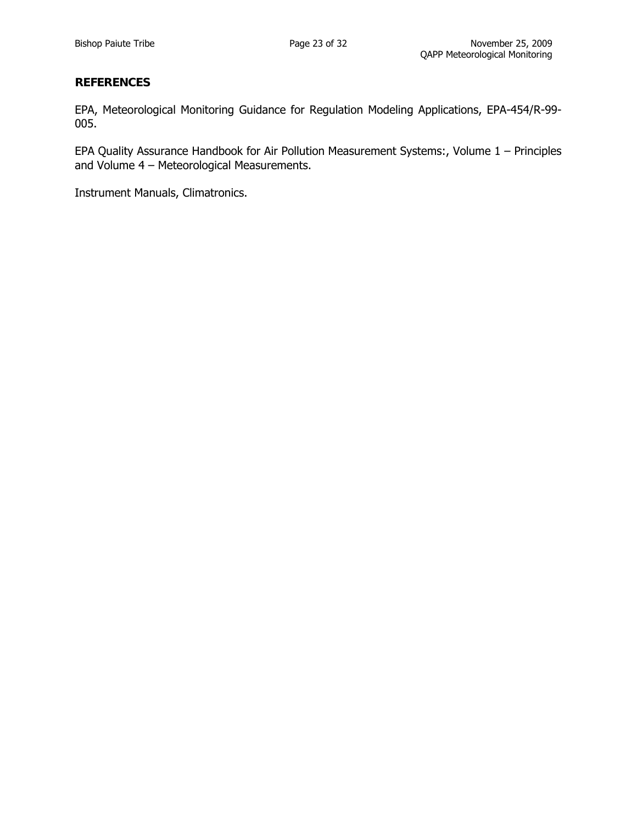#### **REFERENCES**

EPA, Meteorological Monitoring Guidance for Regulation Modeling Applications, EPA-454/R-99- 005.

EPA Quality Assurance Handbook for Air Pollution Measurement Systems:, Volume 1 – Principles and Volume 4 – Meteorological Measurements.

Instrument Manuals, Climatronics.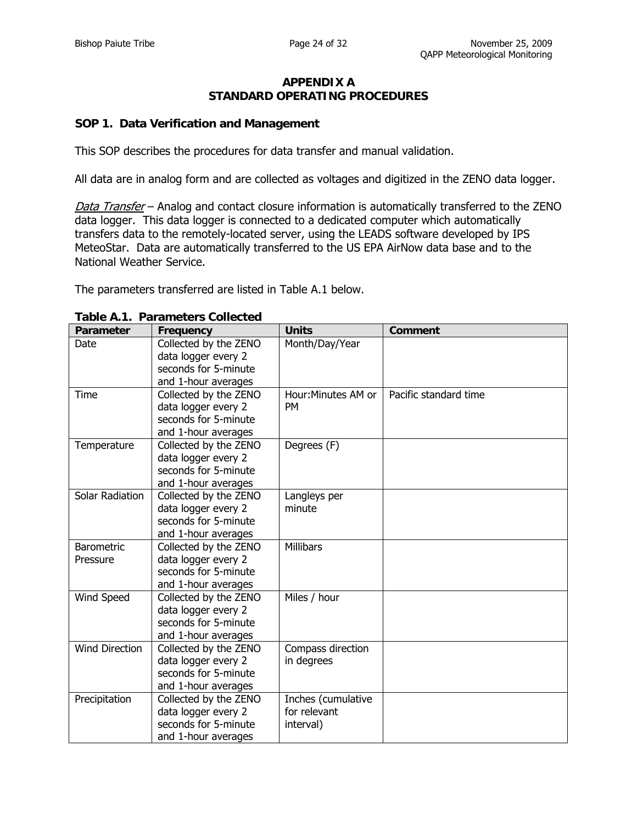#### **APPENDIX A STANDARD OPERATING PROCEDURES**

#### **SOP 1. Data Verification and Management**

This SOP describes the procedures for data transfer and manual validation.

All data are in analog form and are collected as voltages and digitized in the ZENO data logger.

Data Transfer – Analog and contact closure information is automatically transferred to the ZENO data logger. This data logger is connected to a dedicated computer which automatically transfers data to the remotely-located server, using the LEADS software developed by IPS MeteoStar. Data are automatically transferred to the US EPA AirNow data base and to the National Weather Service.

The parameters transferred are listed in Table A.1 below.

| Parameter                     | Frequency                                                                                   | <b>Units</b>                                    | <b>Comment</b>        |
|-------------------------------|---------------------------------------------------------------------------------------------|-------------------------------------------------|-----------------------|
| Date                          | Collected by the ZENO<br>data logger every 2<br>seconds for 5-minute<br>and 1-hour averages | Month/Day/Year                                  |                       |
| Time                          | Collected by the ZENO<br>data logger every 2<br>seconds for 5-minute<br>and 1-hour averages | Hour: Minutes AM or<br><b>PM</b>                | Pacific standard time |
| Temperature                   | Collected by the ZENO<br>data logger every 2<br>seconds for 5-minute<br>and 1-hour averages | Degrees (F)                                     |                       |
| Solar Radiation               | Collected by the ZENO<br>data logger every 2<br>seconds for 5-minute<br>and 1-hour averages | Langleys per<br>minute                          |                       |
| <b>Barometric</b><br>Pressure | Collected by the ZENO<br>data logger every 2<br>seconds for 5-minute<br>and 1-hour averages | <b>Millibars</b>                                |                       |
| Wind Speed                    | Collected by the ZENO<br>data logger every 2<br>seconds for 5-minute<br>and 1-hour averages | Miles / hour                                    |                       |
| Wind Direction                | Collected by the ZENO<br>data logger every 2<br>seconds for 5-minute<br>and 1-hour averages | Compass direction<br>in degrees                 |                       |
| Precipitation                 | Collected by the ZENO<br>data logger every 2<br>seconds for 5-minute<br>and 1-hour averages | Inches (cumulative<br>for relevant<br>interval) |                       |

#### **Table A.1. Parameters Collected**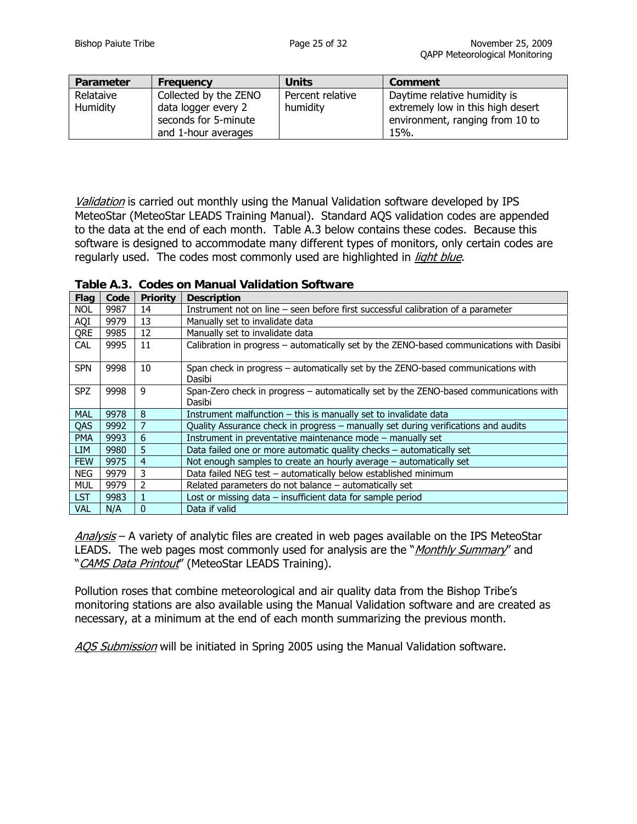| Parameter | Frequency             | <b>Units</b>     | Comment                           |
|-----------|-----------------------|------------------|-----------------------------------|
| Relataive | Collected by the ZENO | Percent relative | Daytime relative humidity is      |
| Humidity  | data logger every 2   | humidity         | extremely low in this high desert |
|           | seconds for 5-minute  |                  | environment, ranging from 10 to   |
|           | and 1-hour averages   |                  | 15%.                              |

Validation is carried out monthly using the Manual Validation software developed by IPS MeteoStar (MeteoStar LEADS Training Manual). Standard AQS validation codes are appended to the data at the end of each month. Table A.3 below contains these codes. Because this software is designed to accommodate many different types of monitors, only certain codes are regularly used. The codes most commonly used are highlighted in *light blue*.

| Table A.3. Codes on Manual Validation Software |
|------------------------------------------------|
|------------------------------------------------|

| Flag       | Code | <b>Priority</b> | <b>Description</b>                                                                              |
|------------|------|-----------------|-------------------------------------------------------------------------------------------------|
| <b>NOL</b> | 9987 | 14              | Instrument not on line – seen before first successful calibration of a parameter                |
| AQI        | 9979 | 13              | Manually set to invalidate data                                                                 |
| QRE        | 9985 | 12              | Manually set to invalidate data                                                                 |
| <b>CAL</b> | 9995 | 11              | Calibration in progress – automatically set by the ZENO-based communications with Dasibi        |
| <b>SPN</b> | 9998 | 10              | Span check in progress – automatically set by the ZENO-based communications with<br>Dasibi      |
| <b>SPZ</b> | 9998 | 9               | Span-Zero check in progress - automatically set by the ZENO-based communications with<br>Dasibi |
| <b>MAL</b> | 9978 | 8               | Instrument malfunction $-$ this is manually set to invalidate data                              |
| QAS        | 9992 |                 | Quality Assurance check in progress - manually set during verifications and audits              |
| <b>PMA</b> | 9993 | 6               | Instrument in preventative maintenance mode - manually set                                      |
| LIM.       | 9980 | 5               | Data failed one or more automatic quality checks – automatically set                            |
| <b>FEW</b> | 9975 | 4               | Not enough samples to create an hourly average $-$ automatically set                            |
| <b>NEG</b> | 9979 | 3               | Data failed NEG test - automatically below established minimum                                  |
| MUL        | 9979 |                 | Related parameters do not balance $-$ automatically set                                         |
| <b>LST</b> | 9983 |                 | Lost or missing data $-$ insufficient data for sample period                                    |
| <b>VAL</b> | N/A  | $\Omega$        | Data if valid                                                                                   |

Analysis - A variety of analytic files are created in web pages available on the IPS MeteoStar LEADS. The web pages most commonly used for analysis are the "*Monthly Summary*" and "CAMS Data Printout" (MeteoStar LEADS Training).

Pollution roses that combine meteorological and air quality data from the Bishop Tribe's monitoring stations are also available using the Manual Validation software and are created as necessary, at a minimum at the end of each month summarizing the previous month.

AQS Submission will be initiated in Spring 2005 using the Manual Validation software.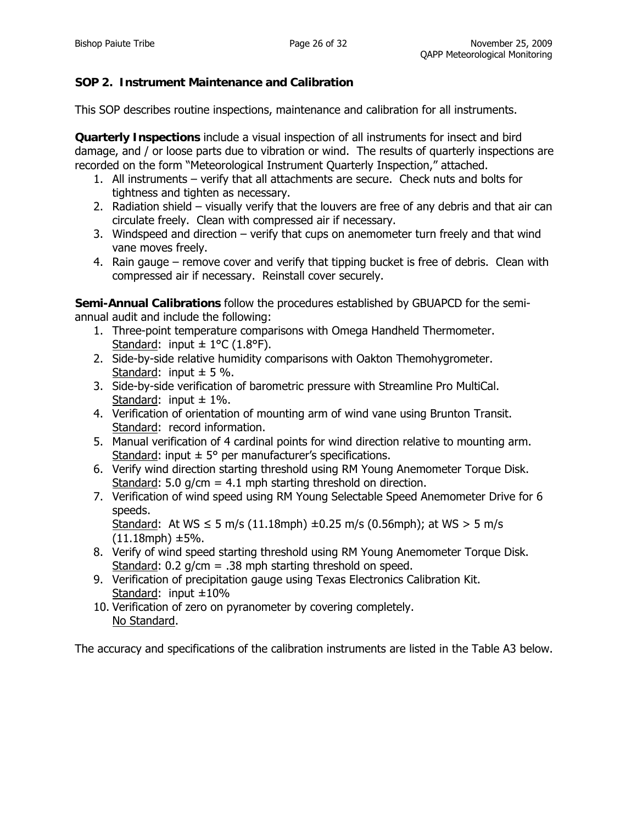# **SOP 2. Instrument Maintenance and Calibration**

This SOP describes routine inspections, maintenance and calibration for all instruments.

**Quarterly Inspections** include a visual inspection of all instruments for insect and bird damage, and / or loose parts due to vibration or wind. The results of quarterly inspections are recorded on the form "Meteorological Instrument Quarterly Inspection," attached.

- 1. All instruments verify that all attachments are secure. Check nuts and bolts for tightness and tighten as necessary.
- 2. Radiation shield visually verify that the louvers are free of any debris and that air can circulate freely. Clean with compressed air if necessary.
- 3. Windspeed and direction verify that cups on anemometer turn freely and that wind vane moves freely.
- 4. Rain gauge remove cover and verify that tipping bucket is free of debris. Clean with compressed air if necessary. Reinstall cover securely.

**Semi-Annual Calibrations** follow the procedures established by GBUAPCD for the semiannual audit and include the following:

- 1. Three-point temperature comparisons with Omega Handheld Thermometer. Standard: input  $\pm$  1°C (1.8°F).
- 2. Side-by-side relative humidity comparisons with Oakton Themohygrometer. Standard: input  $\pm$  5 %.
- 3. Side-by-side verification of barometric pressure with Streamline Pro MultiCal. Standard: input  $\pm$  1%.
- 4. Verification of orientation of mounting arm of wind vane using Brunton Transit. Standard: record information.
- 5. Manual verification of 4 cardinal points for wind direction relative to mounting arm. Standard: input  $\pm$  5° per manufacturer's specifications.
- 6. Verify wind direction starting threshold using RM Young Anemometer Torque Disk. Standard: 5.0  $q/cm = 4.1$  mph starting threshold on direction.
- 7. Verification of wind speed using RM Young Selectable Speed Anemometer Drive for 6 speeds.

Standard: At WS  $\leq$  5 m/s (11.18mph)  $\pm$ 0.25 m/s (0.56mph); at WS  $>$  5 m/s (11.18mph) ±5%.

- 8. Verify of wind speed starting threshold using RM Young Anemometer Torque Disk. Standard:  $0.2$  g/cm = .38 mph starting threshold on speed.
- 9. Verification of precipitation gauge using Texas Electronics Calibration Kit. Standard: input  $\pm 10\%$
- 10. Verification of zero on pyranometer by covering completely. No Standard.

The accuracy and specifications of the calibration instruments are listed in the Table A3 below.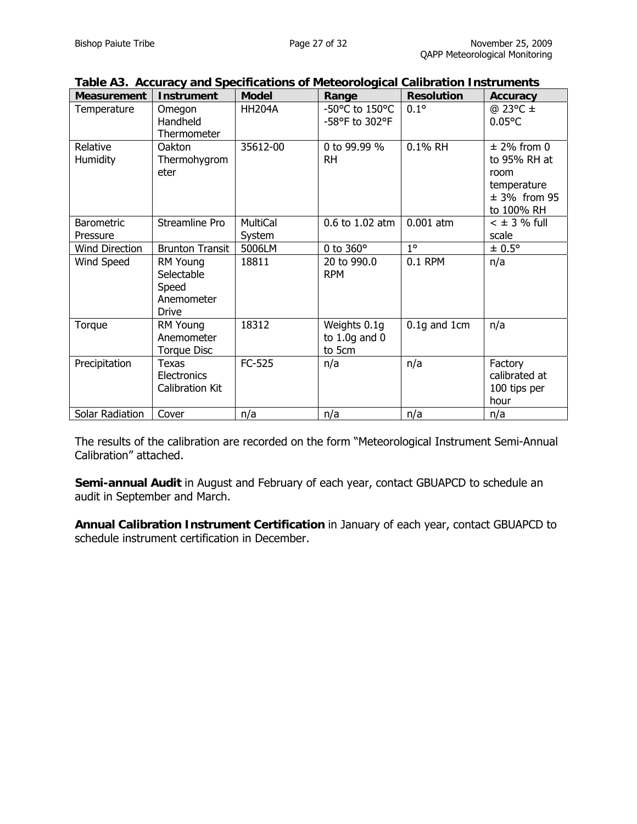| <b>Measurement</b>            | <b>Instrument</b>                                      | <b>Model</b>              | Range                                       | <b>Resolution</b> | <b>Accuracy</b>                                                                       |
|-------------------------------|--------------------------------------------------------|---------------------------|---------------------------------------------|-------------------|---------------------------------------------------------------------------------------|
| Temperature                   | Omegon<br>Handheld<br>Thermometer                      | <b>HH204A</b>             | -50°C to 150°C<br>-58°F to 302°F            | $0.1^\circ$       | $@$ 23°C $\pm$<br>$0.05^{\circ}$ C                                                    |
| Relative<br>Humidity          | Oakton<br>Thermohygrom<br>eter                         | 35612-00                  | 0 to 99.99 %<br><b>RH</b>                   | 0.1% RH           | $±$ 2% from 0<br>to 95% RH at<br>room<br>temperature<br>$± 3\%$ from 95<br>to 100% RH |
| <b>Barometric</b><br>Pressure | Streamline Pro                                         | <b>MultiCal</b><br>System | 0.6 to 1.02 atm                             | $0.001$ atm       | $<$ $\pm$ 3 % full<br>scale                                                           |
| <b>Wind Direction</b>         | <b>Brunton Transit</b>                                 | 5006LM                    | 0 to $360^\circ$                            | $1^{\circ}$       | ± 0.5°                                                                                |
| Wind Speed                    | RM Young<br>Selectable<br>Speed<br>Anemometer<br>Drive | 18811                     | 20 to 990.0<br><b>RPM</b>                   | 0.1 RPM           | n/a                                                                                   |
| Torque                        | RM Young<br>Anemometer<br>Torque Disc                  | 18312                     | Weights 0.1g<br>to $1.0g$ and $0$<br>to 5cm | $0.1g$ and 1cm    | n/a                                                                                   |
| Precipitation                 | Texas<br>Electronics<br><b>Calibration Kit</b>         | FC-525                    | n/a                                         | n/a               | Factory<br>calibrated at<br>100 tips per<br>hour                                      |
| Solar Radiation               | Cover                                                  | n/a                       | n/a                                         | n/a               | n/a                                                                                   |

|  |  |  | Table A3. Accuracy and Specifications of Meteorological Calibration Instruments |
|--|--|--|---------------------------------------------------------------------------------|
|  |  |  |                                                                                 |

The results of the calibration are recorded on the form "Meteorological Instrument Semi-Annual Calibration" attached.

**Semi-annual Audit** in August and February of each year, contact GBUAPCD to schedule an audit in September and March.

**Annual Calibration Instrument Certification** in January of each year, contact GBUAPCD to schedule instrument certification in December.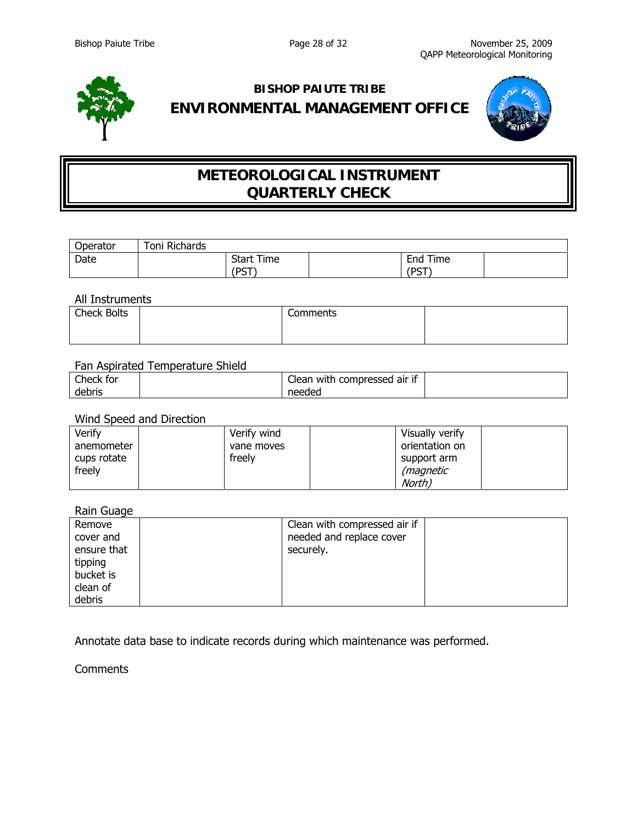

# **BISHOP PAIUTE TRIBE ENVIRONMENTAL MANAGEMENT OFFICE**



# **METEOROLOGICAL INSTRUMENT QUARTERLY CHECK**

| <b>Operator</b> | Toni Richards |                   |               |  |
|-----------------|---------------|-------------------|---------------|--|
| Date            |               | <b>Start Time</b> | Time<br>End   |  |
|                 | DCT)<br>ٮ     |                   | /DCT<br>- ບ ເ |  |

All Instruments

| <b>Check Bolts</b> | Comments |  |
|--------------------|----------|--|
|                    |          |  |

#### Fan Aspirated Temperature Shield

| $\sim$<br>Check for | $\cdot$ $\sim$<br>-<br><br>with o<br>compressed air if<br>Clean |  |
|---------------------|-----------------------------------------------------------------|--|
| debris              | needed                                                          |  |

#### Wind Speed and Direction

| Verify      | Verify wind | Visually verify  |
|-------------|-------------|------------------|
| anemometer  | vane moves  | orientation on   |
| cups rotate | freely      | support arm      |
| freely      |             | <i>(magnetic</i> |
|             |             | North)           |

#### Rain Guage

| Remove      | Clean with compressed air if |  |
|-------------|------------------------------|--|
| cover and   | needed and replace cover     |  |
| ensure that | securely.                    |  |
| tipping     |                              |  |
| bucket is   |                              |  |
| clean of    |                              |  |
| debris      |                              |  |

Annotate data base to indicate records during which maintenance was performed.

#### **Comments**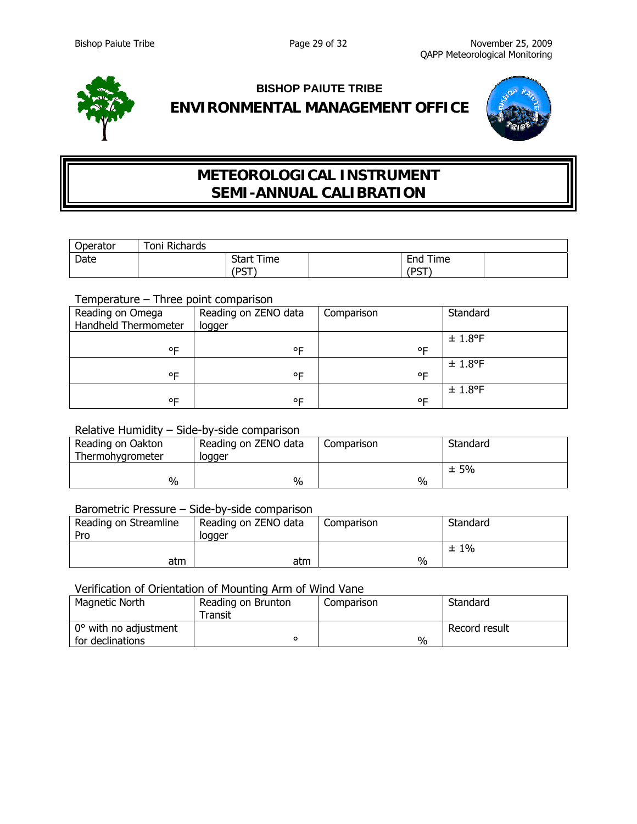

# **BISHOP PAIUTE TRIBE ENVIRONMENTAL MANAGEMENT OFFICE**



# **METEOROLOGICAL INSTRUMENT SEMI-ANNUAL CALIBRATION**

| <b>Operator</b> | Richards<br>Toni |                                   |                                   |  |
|-----------------|------------------|-----------------------------------|-----------------------------------|--|
| Date            |                  | <b>Start Time</b><br>/DCT<br>ຸບ . | -<br>Time<br>End<br>/DCT<br>- ບ ເ |  |

## Temperature – Three point comparison

| Reading on Omega<br>Handheld Thermometer | Reading on ZENO data<br>logger | Comparison | Standard |
|------------------------------------------|--------------------------------|------------|----------|
|                                          |                                |            | ± 1.8°F  |
| ᅂ                                        | ᅂ                              | ᅂ          |          |
|                                          |                                |            | ± 1.8°F  |
| ᅂ                                        | ᅂ                              | ᅂ          |          |
|                                          |                                |            | ± 1.8°F  |
| ᅂ                                        | ᅂ                              | ᅂ          |          |

# Relative Humidity – Side-by-side comparison

| Reading on Oakton<br>Thermohygrometer | Reading on ZENO data<br>logger | Comparison | Standard |
|---------------------------------------|--------------------------------|------------|----------|
| %                                     | $\%$                           | %          | ±5%      |

#### Barometric Pressure – Side-by-side comparison

| Reading on Streamline<br>Pro | Reading on ZENO data<br>logger | Comparison | Standard |
|------------------------------|--------------------------------|------------|----------|
| atm                          | atm                            | $\%$       | $±1\%$   |

#### Verification of Orientation of Mounting Arm of Wind Vane

| Magnetic North                            | Reading on Brunton<br>Transit | Comparison | Standard      |
|-------------------------------------------|-------------------------------|------------|---------------|
| 0° with no adjustment<br>for declinations |                               | %          | Record result |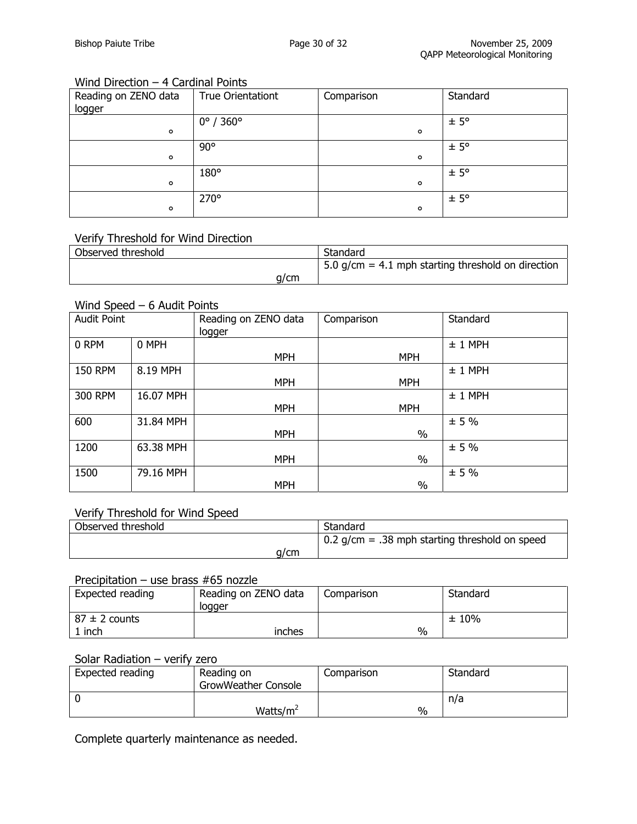## Wind Direction – 4 Cardinal Points

| Reading on ZENO data | <b>True Orientationt</b>     | Comparison | Standard      |
|----------------------|------------------------------|------------|---------------|
| logger               |                              |            |               |
|                      | $0^{\circ}$ / 360 $^{\circ}$ |            | $± 5^{\circ}$ |
| $\circ$              |                              | $\circ$    |               |
|                      | $90^{\circ}$                 |            | $± 5^{\circ}$ |
| $\mathbf{o}$         |                              | $\circ$    |               |
|                      | 180°                         |            | $± 5^{\circ}$ |
| $\circ$              |                              | $\circ$    |               |
|                      | 270°                         |            | $± 5^{\circ}$ |
| $\circ$              |                              | o          |               |

## Verify Threshold for Wind Direction

| Observed threshold | Standard                                                         |
|--------------------|------------------------------------------------------------------|
|                    | $\frac{1}{2}$ 5.0 g/cm = 4.1 mph starting threshold on direction |
| a/cm               |                                                                  |

#### Wind Speed – 6 Audit Points

| <b>Audit Point</b> |           | Reading on ZENO data<br>logger | Comparison | Standard  |
|--------------------|-----------|--------------------------------|------------|-----------|
| 0 RPM              | 0 MPH     |                                |            | $± 1$ MPH |
|                    |           | <b>MPH</b>                     | <b>MPH</b> |           |
| <b>150 RPM</b>     | 8.19 MPH  |                                |            | $± 1$ MPH |
|                    |           | <b>MPH</b>                     | <b>MPH</b> |           |
| 300 RPM            | 16.07 MPH |                                |            | $± 1$ MPH |
|                    |           | <b>MPH</b>                     | <b>MPH</b> |           |
| 600                | 31.84 MPH |                                |            | ± 5%      |
|                    |           | <b>MPH</b>                     | $\%$       |           |
| 1200               | 63.38 MPH |                                |            | ± 5%      |
|                    |           | <b>MPH</b>                     | $\%$       |           |
| 1500               | 79.16 MPH |                                |            | ± 5%      |
|                    |           | <b>MPH</b>                     | $\%$       |           |

## Verify Threshold for Wind Speed

| Observed threshold | Standard                                         |
|--------------------|--------------------------------------------------|
|                    | $0.2$ g/cm = .38 mph starting threshold on speed |
| a/cm               |                                                  |

### Precipitation – use brass #65 nozzle

| Expected reading  | Reading on ZENO data<br>logger | Comparison | Standard |
|-------------------|--------------------------------|------------|----------|
| $87 \pm 2$ counts |                                |            | ± 10%    |
| 1 inch            | inches                         | %          |          |

## Solar Radiation – verify zero

| Expected reading | Reading on<br><b>GrowWeather Console</b> | Comparison    | Standard |
|------------------|------------------------------------------|---------------|----------|
|                  |                                          |               | n/a      |
|                  | Watts/ $m^2$                             | $\frac{0}{0}$ |          |

Complete quarterly maintenance as needed.